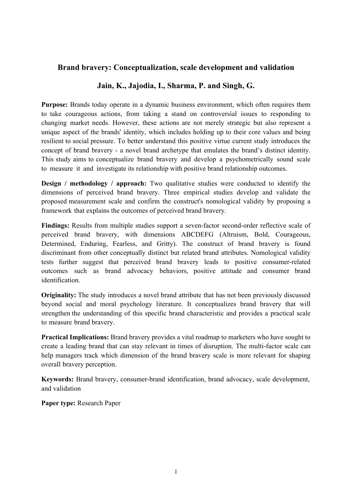## **Brand bravery: Conceptualization, scale development and validation**

## **Jain, K., Jajodia, I., Sharma, P. and Singh, G.**

Purpose: Brands today operate in a dynamic business environment, which often requires them to take courageous actions, from taking a stand on controversial issues to responding to changing market needs. However, these actions are not merely strategic but also represent a unique aspect of the brands' identity, which includes holding up to their core values and being resilient to social pressure. To better understand this positive virtue current study introduces the concept of brand bravery - a novel brand archetype that emulates the brand's distinct identity. This study aims to conceptualize brand bravery and develop a psychometrically sound scale to measure it and investigate its relationship with positive brand relationship outcomes.

**Design / methodology / approach:** Two qualitative studies were conducted to identify the dimensions of perceived brand bravery. Three empirical studies develop and validate the proposed measurement scale and confirm the construct's nomological validity by proposing a framework that explains the outcomes of perceived brand bravery.

**Findings:** Results from multiple studies support a seven-factor second-order reflective scale of perceived brand bravery, with dimensions ABCDEFG (Altruism, Bold, Courageous, Determined, Enduring, Fearless, and Gritty). The construct of brand bravery is found discriminant from other conceptually distinct but related brand attributes. Nomological validity tests further suggest that perceived brand bravery leads to positive consumer-related outcomes such as brand advocacy behaviors, positive attitude and consumer brand identification.

**Originality:** The study introduces a novel brand attribute that has not been previously discussed beyond social and moral psychology literature. It conceptualizes brand bravery that will strengthen the understanding of this specific brand characteristic and provides a practical scale to measure brand bravery.

**Practical Implications:** Brand bravery provides a vital roadmap to marketers who have sought to create a leading brand that can stay relevant in times of disruption. The multi-factor scale can help managers track which dimension of the brand bravery scale is more relevant for shaping overall bravery perception.

**Keywords:** Brand bravery, consumer-brand identification, brand advocacy, scale development, and validation

**Paper type:** Research Paper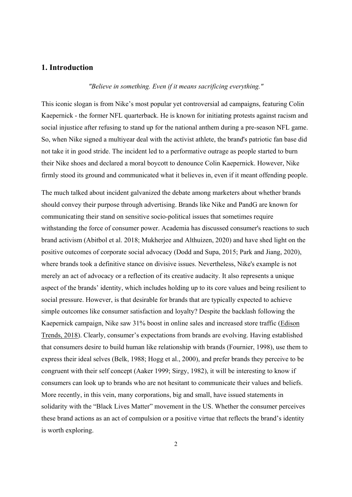## **1. Introduction**

*"Believe in something. Even if it means sacrificing everything."* 

This iconic slogan is from Nike's most popular yet controversial ad campaigns, featuring Colin Kaepernick - the former NFL quarterback. He is known for initiating protests against racism and social injustice after refusing to stand up for the national anthem during a pre-season NFL game. So, when Nike signed a multiyear deal with the activist athlete, the brand's patriotic fan base did not take it in good stride. The incident led to a performative outrage as people started to burn their Nike shoes and declared a moral boycott to denounce Colin Kaepernick. However, Nike firmly stood its ground and communicated what it believes in, even if it meant offending people.

The much talked about incident galvanized the debate among marketers about whether brands should convey their purpose through advertising. Brands like Nike and PandG are known for communicating their stand on sensitive socio-political issues that sometimes require withstanding the force of consumer power. Academia has discussed consumer's reactions to such brand activism (Abitbol et al. 2018; Mukherjee and Althuizen, 2020) and have shed light on the positive outcomes of corporate social advocacy (Dodd and Supa, 2015; Park and Jiang, 2020), where brands took a definitive stance on divisive issues. Nevertheless, Nike's example is not merely an act of advocacy or a reflection of its creative audacity. It also represents a unique aspect of the brands' identity, which includes holding up to its core values and being resilient to social pressure. However, is that desirable for brands that are typically expected to achieve simple outcomes like consumer satisfaction and loyalty? Despite the backlash following the Kaepernick campaign, Nike saw 31% boost in online sales and increased store traffic (Edison Trends, 2018). Clearly, consumer's expectations from brands are evolving. Having established that consumers desire to build human like relationship with brands (Fournier, 1998), use them to express their ideal selves (Belk, 1988; Hogg et al., 2000), and prefer brands they perceive to be congruent with their self concept (Aaker 1999; Sirgy, 1982), it will be interesting to know if consumers can look up to brands who are not hesitant to communicate their values and beliefs. More recently, in this vein, many corporations, big and small, have issued statements in solidarity with the "Black Lives Matter" movement in the US. Whether the consumer perceives these brand actions as an act of compulsion or a positive virtue that reflects the brand's identity is worth exploring.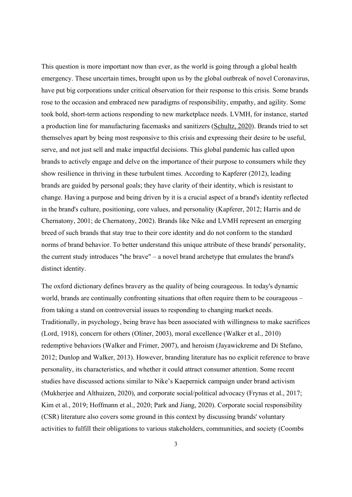This question is more important now than ever, as the world is going through a global health emergency. These uncertain times, brought upon us by the global outbreak of novel Coronavirus, have put big corporations under critical observation for their response to this crisis. Some brands rose to the occasion and embraced new paradigms of responsibility, empathy, and agility. Some took bold, short-term actions responding to new marketplace needs. LVMH, for instance, started a production line for manufacturing facemasks and sanitizers (Schultz, 2020). Brands tried to set themselves apart by being most responsive to this crisis and expressing their desire to be useful, serve, and not just sell and make impactful decisions. This global pandemic has called upon brands to actively engage and delve on the importance of their purpose to consumers while they show resilience in thriving in these turbulent times. According to Kapferer (2012), leading brands are guided by personal goals; they have clarity of their identity, which is resistant to change. Having a purpose and being driven by it is a crucial aspect of a brand's identity reflected in the brand's culture, positioning, core values, and personality (Kapferer, 2012; Harris and de Chernatony, 2001; de Chernatony, 2002). Brands like Nike and LVMH represent an emerging breed of such brands that stay true to their core identity and do not conform to the standard norms of brand behavior. To better understand this unique attribute of these brands' personality, the current study introduces "the brave" – a novel brand archetype that emulates the brand's distinct identity.

The oxford dictionary defines bravery as the quality of being courageous. In today's dynamic world, brands are continually confronting situations that often require them to be courageous – from taking a stand on controversial issues to responding to changing market needs. Traditionally, in psychology, being brave has been associated with willingness to make sacrifices (Lord, 1918), concern for others (Oliner, 2003), moral excellence (Walker et al., 2010) redemptive behaviors (Walker and Frimer, 2007), and heroism (Jayawickreme and Di Stefano, 2012; Dunlop and Walker, 2013). However, branding literature has no explicit reference to brave personality, its characteristics, and whether it could attract consumer attention. Some recent studies have discussed actions similar to Nike's Kaepernick campaign under brand activism (Mukherjee and Althuizen, 2020), and corporate social/political advocacy (Frynas et al., 2017; Kim et al., 2019; Hoffmann et al., 2020; Park and Jiang, 2020). Corporate social responsibility (CSR) literature also covers some ground in this context by discussing brands' voluntary activities to fulfill their obligations to various stakeholders, communities, and society (Coombs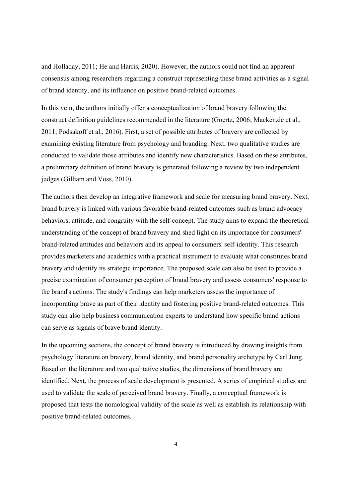and Holladay, 2011; He and Harris, 2020). However, the authors could not find an apparent consensus among researchers regarding a construct representing these brand activities as a signal of brand identity, and its influence on positive brand-related outcomes.

In this vein, the authors initially offer a conceptualization of brand bravery following the construct definition guidelines recommended in the literature (Goertz, 2006; Mackenzie et al., 2011; Podsakoff et al., 2016). First, a set of possible attributes of bravery are collected by examining existing literature from psychology and branding. Next, two qualitative studies are conducted to validate those attributes and identify new characteristics. Based on these attributes, a preliminary definition of brand bravery is generated following a review by two independent judges (Gilliam and Voss, 2010).

The authors then develop an integrative framework and scale for measuring brand bravery. Next, brand bravery is linked with various favorable brand-related outcomes such as brand advocacy behaviors, attitude, and congruity with the self-concept. The study aims to expand the theoretical understanding of the concept of brand bravery and shed light on its importance for consumers' brand-related attitudes and behaviors and its appeal to consumers' self-identity. This research provides marketers and academics with a practical instrument to evaluate what constitutes brand bravery and identify its strategic importance. The proposed scale can also be used to provide a precise examination of consumer perception of brand bravery and assess consumers' response to the brand's actions. The study's findings can help marketers assess the importance of incorporating brave as part of their identity and fostering positive brand-related outcomes. This study can also help business communication experts to understand how specific brand actions can serve as signals of brave brand identity.

In the upcoming sections, the concept of brand bravery is introduced by drawing insights from psychology literature on bravery, brand identity, and brand personality archetype by Carl Jung. Based on the literature and two qualitative studies, the dimensions of brand bravery are identified. Next, the process of scale development is presented. A series of empirical studies are used to validate the scale of perceived brand bravery. Finally, a conceptual framework is proposed that tests the nomological validity of the scale as well as establish its relationship with positive brand-related outcomes.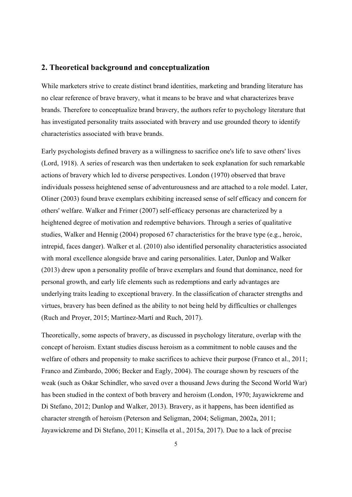## **2. Theoretical background and conceptualization**

While marketers strive to create distinct brand identities, marketing and branding literature has no clear reference of brave bravery, what it means to be brave and what characterizes brave brands. Therefore to conceptualize brand bravery, the authors refer to psychology literature that has investigated personality traits associated with bravery and use grounded theory to identify characteristics associated with brave brands.

Early psychologists defined bravery as a willingness to sacrifice one's life to save others' lives (Lord, 1918). A series of research was then undertaken to seek explanation for such remarkable actions of bravery which led to diverse perspectives. London (1970) observed that brave individuals possess heightened sense of adventurousness and are attached to a role model. Later, Oliner (2003) found brave exemplars exhibiting increased sense of self efficacy and concern for others' welfare. Walker and Frimer (2007) self-efficacy personas are characterized by a heightened degree of motivation and redemptive behaviors. Through a series of qualitative studies, Walker and Hennig (2004) proposed 67 characteristics for the brave type (e.g., heroic, intrepid, faces danger). Walker et al. (2010) also identified personality characteristics associated with moral excellence alongside brave and caring personalities. Later, Dunlop and Walker (2013) drew upon a personality profile of brave exemplars and found that dominance, need for personal growth, and early life elements such as redemptions and early advantages are underlying traits leading to exceptional bravery. In the classification of character strengths and virtues, bravery has been defined as the ability to not being held by difficulties or challenges (Ruch and Proyer, 2015; Martínez-Martí and Ruch, 2017).

Theoretically, some aspects of bravery, as discussed in psychology literature, overlap with the concept of heroism. Extant studies discuss heroism as a commitment to noble causes and the welfare of others and propensity to make sacrifices to achieve their purpose (Franco et al., 2011; Franco and Zimbardo, 2006; Becker and Eagly, 2004). The courage shown by rescuers of the weak (such as Oskar Schindler, who saved over a thousand Jews during the Second World War) has been studied in the context of both bravery and heroism (London, 1970; Jayawickreme and Di Stefano, 2012; Dunlop and Walker, 2013). Bravery, as it happens, has been identified as character strength of heroism (Peterson and Seligman, 2004; Seligman, 2002a, 2011; Jayawickreme and Di Stefano, 2011; Kinsella et al., 2015a, 2017). Due to a lack of precise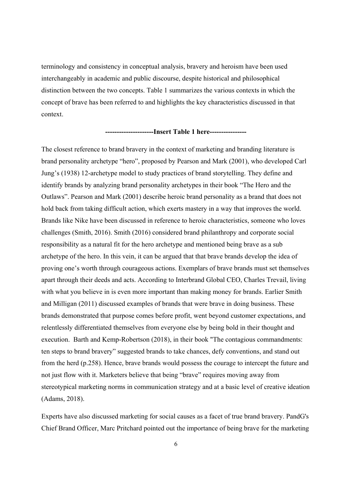terminology and consistency in conceptual analysis, bravery and heroism have been used interchangeably in academic and public discourse, despite historical and philosophical distinction between the two concepts. Table 1 summarizes the various contexts in which the concept of brave has been referred to and highlights the key characteristics discussed in that context.

#### **---------------------Insert Table 1 here----------------**

The closest reference to brand bravery in the context of marketing and branding literature is brand personality archetype "hero", proposed by Pearson and Mark (2001), who developed Carl Jung's (1938) 12-archetype model to study practices of brand storytelling. They define and identify brands by analyzing brand personality archetypes in their book "The Hero and the Outlaws". Pearson and Mark (2001) describe heroic brand personality as a brand that does not hold back from taking difficult action, which exerts mastery in a way that improves the world. Brands like Nike have been discussed in reference to heroic characteristics, someone who loves challenges (Smith, 2016). Smith (2016) considered brand philanthropy and corporate social responsibility as a natural fit for the hero archetype and mentioned being brave as a sub archetype of the hero. In this vein, it can be argued that that brave brands develop the idea of proving one's worth through courageous actions. Exemplars of brave brands must set themselves apart through their deeds and acts. According to Interbrand Global CEO, Charles Trevail, living with what you believe in is even more important than making money for brands. Earlier Smith and Milligan (2011) discussed examples of brands that were brave in doing business. These brands demonstrated that purpose comes before profit, went beyond customer expectations, and relentlessly differentiated themselves from everyone else by being bold in their thought and execution. Barth and Kemp-Robertson (2018), in their book "The contagious commandments: ten steps to brand bravery" suggested brands to take chances, defy conventions, and stand out from the herd (p.258). Hence, brave brands would possess the courage to intercept the future and not just flow with it. Marketers believe that being "brave" requires moving away from stereotypical marketing norms in communication strategy and at a basic level of creative ideation (Adams, 2018).

Experts have also discussed marketing for social causes as a facet of true brand bravery. PandG's Chief Brand Officer, Marc Pritchard pointed out the importance of being brave for the marketing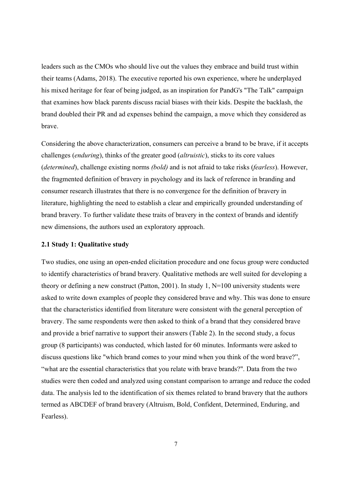leaders such as the CMOs who should live out the values they embrace and build trust within their teams (Adams, 2018). The executive reported his own experience, where he underplayed his mixed heritage for fear of being judged, as an inspiration for PandG's "The Talk" campaign that examines how black parents discuss racial biases with their kids. Despite the backlash, the brand doubled their PR and ad expenses behind the campaign, a move which they considered as brave.

Considering the above characterization, consumers can perceive a brand to be brave, if it accepts challenges (*enduring*), thinks of the greater good (*altruistic*), sticks to its core values (*determined*), challenge existing norms *(bold)* and is not afraid to take risks (*fearless*). However, the fragmented definition of bravery in psychology and its lack of reference in branding and consumer research illustrates that there is no convergence for the definition of bravery in literature, highlighting the need to establish a clear and empirically grounded understanding of brand bravery. To further validate these traits of bravery in the context of brands and identify new dimensions, the authors used an exploratory approach.

### **2.1 Study 1: Qualitative study**

Two studies, one using an open-ended elicitation procedure and one focus group were conducted to identify characteristics of brand bravery. Qualitative methods are well suited for developing a theory or defining a new construct (Patton, 2001). In study 1, N=100 university students were asked to write down examples of people they considered brave and why. This was done to ensure that the characteristics identified from literature were consistent with the general perception of bravery. The same respondents were then asked to think of a brand that they considered brave and provide a brief narrative to support their answers (Table 2). In the second study, a focus group (8 participants) was conducted, which lasted for 60 minutes. Informants were asked to discuss questions like "which brand comes to your mind when you think of the word brave?", "what are the essential characteristics that you relate with brave brands?". Data from the two studies were then coded and analyzed using constant comparison to arrange and reduce the coded data. The analysis led to the identification of six themes related to brand bravery that the authors termed as ABCDEF of brand bravery (Altruism, Bold, Confident, Determined, Enduring, and Fearless).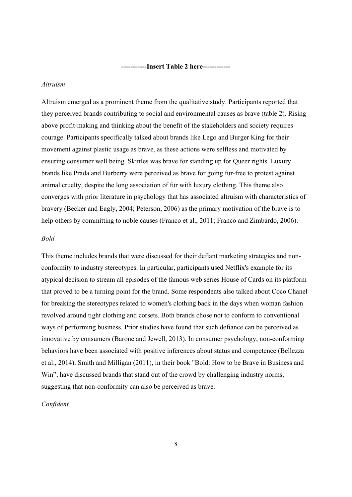**-----------Insert Table 2 here------------** 

### *Altruism*

Altruism emerged as a prominent theme from the qualitative study. Participants reported that they perceived brands contributing to social and environmental causes as brave (table 2). Rising above profit-making and thinking about the benefit of the stakeholders and society requires courage. Participants specifically talked about brands like Lego and Burger King for their movement against plastic usage as brave, as these actions were selfless and motivated by ensuring consumer well being. Skittles was brave for standing up for Queer rights. Luxury brands like Prada and Burberry were perceived as brave for going fur-free to protest against animal cruelty, despite the long association of fur with luxury clothing. This theme also converges with prior literature in psychology that has associated altruism with characteristics of bravery (Becker and Eagly, 2004; Peterson, 2006) as the primary motivation of the brave is to help others by committing to noble causes (Franco et al., 2011; Franco and Zimbardo, 2006).

### *Bold*

This theme includes brands that were discussed for their defiant marketing strategies and nonconformity to industry stereotypes. In particular, participants used Netflix's example for its atypical decision to stream all episodes of the famous web series House of Cards on its platform that proved to be a turning point for the brand. Some respondents also talked about Coco Chanel for breaking the stereotypes related to women's clothing back in the days when woman fashion revolved around tight clothing and corsets. Both brands chose not to conform to conventional ways of performing business. Prior studies have found that such defiance can be perceived as innovative by consumers (Barone and Jewell, 2013). In consumer psychology, non-conforming behaviors have been associated with positive inferences about status and competence (Bellezza et al., 2014). Smith and Milligan (2011), in their book "Bold: How to be Brave in Business and Win", have discussed brands that stand out of the crowd by challenging industry norms, suggesting that non-conformity can also be perceived as brave.

### *Confident*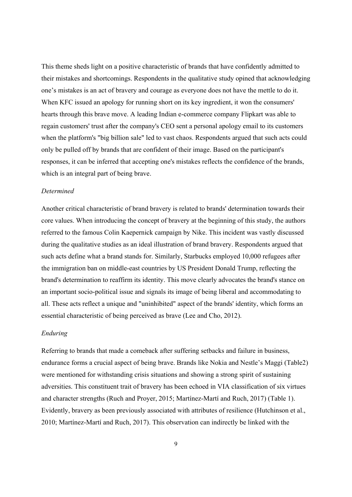This theme sheds light on a positive characteristic of brands that have confidently admitted to their mistakes and shortcomings. Respondents in the qualitative study opined that acknowledging one's mistakes is an act of bravery and courage as everyone does not have the mettle to do it. When KFC issued an apology for running short on its key ingredient, it won the consumers' hearts through this brave move. A leading Indian e-commerce company Flipkart was able to regain customers' trust after the company's CEO sent a personal apology email to its customers when the platform's "big billion sale" led to vast chaos. Respondents argued that such acts could only be pulled off by brands that are confident of their image. Based on the participant's responses, it can be inferred that accepting one's mistakes reflects the confidence of the brands, which is an integral part of being brave.

### *Determined*

Another critical characteristic of brand bravery is related to brands' determination towards their core values. When introducing the concept of bravery at the beginning of this study, the authors referred to the famous Colin Kaepernick campaign by Nike. This incident was vastly discussed during the qualitative studies as an ideal illustration of brand bravery. Respondents argued that such acts define what a brand stands for. Similarly, Starbucks employed 10,000 refugees after the immigration ban on middle-east countries by US President Donald Trump, reflecting the brand's determination to reaffirm its identity. This move clearly advocates the brand's stance on an important socio-political issue and signals its image of being liberal and accommodating to all. These acts reflect a unique and "uninhibited" aspect of the brands' identity, which forms an essential characteristic of being perceived as brave (Lee and Cho, 2012).

### *Enduring*

Referring to brands that made a comeback after suffering setbacks and failure in business, endurance forms a crucial aspect of being brave. Brands like Nokia and Nestle's Maggi (Table2) were mentioned for withstanding crisis situations and showing a strong spirit of sustaining adversities. This constituent trait of bravery has been echoed in VIA classification of six virtues and character strengths (Ruch and Proyer, 2015; Martínez-Martí and Ruch, 2017) (Table 1). Evidently, bravery as been previously associated with attributes of resilience (Hutchinson et al., 2010; Martínez-Martí and Ruch, 2017). This observation can indirectly be linked with the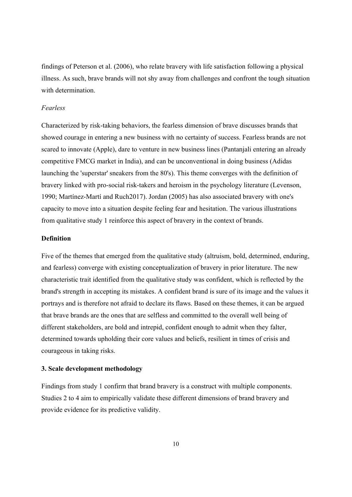findings of Peterson et al. (2006), who relate bravery with life satisfaction following a physical illness. As such, brave brands will not shy away from challenges and confront the tough situation with determination.

### *Fearless*

Characterized by risk-taking behaviors, the fearless dimension of brave discusses brands that showed courage in entering a new business with no certainty of success. Fearless brands are not scared to innovate (Apple), dare to venture in new business lines (Pantanjali entering an already competitive FMCG market in India), and can be unconventional in doing business (Adidas launching the 'superstar' sneakers from the 80's). This theme converges with the definition of bravery linked with pro-social risk-takers and heroism in the psychology literature (Levenson, 1990; Martínez-Martí and Ruch2017). Jordan (2005) has also associated bravery with one's capacity to move into a situation despite feeling fear and hesitation. The various illustrations from qualitative study 1 reinforce this aspect of bravery in the context of brands.

### **Definition**

Five of the themes that emerged from the qualitative study (altruism, bold, determined, enduring, and fearless) converge with existing conceptualization of bravery in prior literature. The new characteristic trait identified from the qualitative study was confident, which is reflected by the brand's strength in accepting its mistakes. A confident brand is sure of its image and the values it portrays and is therefore not afraid to declare its flaws. Based on these themes, it can be argued that brave brands are the ones that are selfless and committed to the overall well being of different stakeholders, are bold and intrepid, confident enough to admit when they falter, determined towards upholding their core values and beliefs, resilient in times of crisis and courageous in taking risks.

### **3. Scale development methodology**

Findings from study 1 confirm that brand bravery is a construct with multiple components. Studies 2 to 4 aim to empirically validate these different dimensions of brand bravery and provide evidence for its predictive validity.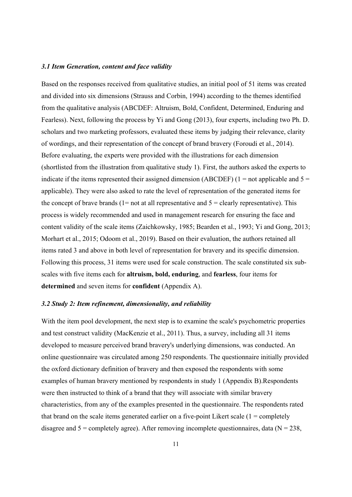### *3.1 Item Generation, content and face validity*

Based on the responses received from qualitative studies, an initial pool of 51 items was created and divided into six dimensions (Strauss and Corbin, 1994) according to the themes identified from the qualitative analysis (ABCDEF: Altruism, Bold, Confident, Determined, Enduring and Fearless). Next, following the process by Yi and Gong (2013), four experts, including two Ph. D. scholars and two marketing professors, evaluated these items by judging their relevance, clarity of wordings, and their representation of the concept of brand bravery (Foroudi et al., 2014). Before evaluating, the experts were provided with the illustrations for each dimension (shortlisted from the illustration from qualitative study 1). First, the authors asked the experts to indicate if the items represented their assigned dimension (ABCDEF) (1 = not applicable and  $5 =$ applicable). They were also asked to rate the level of representation of the generated items for the concept of brave brands ( $1=$  not at all representative and  $5=$  clearly representative). This process is widely recommended and used in management research for ensuring the face and content validity of the scale items (Zaichkowsky, 1985; Bearden et al., 1993; Yi and Gong, 2013; Morhart et al., 2015; Odoom et al., 2019). Based on their evaluation, the authors retained all items rated 3 and above in both level of representation for bravery and its specific dimension. Following this process, 31 items were used for scale construction. The scale constituted six subscales with five items each for **altruism, bold, enduring**, and **fearless**, four items for **determined** and seven items for **confident** (Appendix A).

### *3.2 Study 2: Item refinement, dimensionality, and reliability*

With the item pool development, the next step is to examine the scale's psychometric properties and test construct validity (MacKenzie et al., 2011). Thus, a survey, including all 31 items developed to measure perceived brand bravery's underlying dimensions, was conducted. An online questionnaire was circulated among 250 respondents. The questionnaire initially provided the oxford dictionary definition of bravery and then exposed the respondents with some examples of human bravery mentioned by respondents in study 1 (Appendix B).Respondents were then instructed to think of a brand that they will associate with similar bravery characteristics, from any of the examples presented in the questionnaire. The respondents rated that brand on the scale items generated earlier on a five-point Likert scale  $(1 = \text{completely})$ disagree and  $5 =$  completely agree). After removing incomplete questionnaires, data ( $N = 238$ ,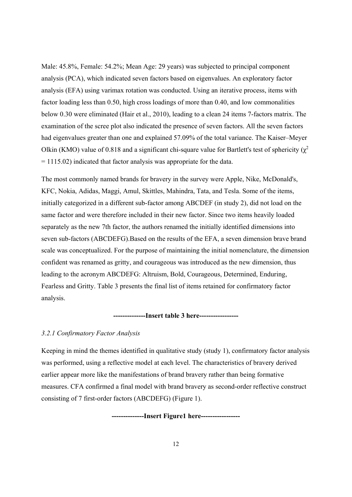Male: 45.8%, Female: 54.2%; Mean Age: 29 years) was subjected to principal component analysis (PCA), which indicated seven factors based on eigenvalues. An exploratory factor analysis (EFA) using varimax rotation was conducted. Using an iterative process, items with factor loading less than 0.50, high cross loadings of more than 0.40, and low commonalities below 0.30 were eliminated (Hair et al., 2010), leading to a clean 24 items 7-factors matrix. The examination of the scree plot also indicated the presence of seven factors. All the seven factors had eigenvalues greater than one and explained 57.09% of the total variance. The Kaiser–Meyer Olkin (KMO) value of 0.818 and a significant chi-square value for Bartlett's test of sphericity ( $\chi^2$ )  $= 1115.02$ ) indicated that factor analysis was appropriate for the data.

The most commonly named brands for bravery in the survey were Apple, Nike, McDonald's, KFC, Nokia, Adidas, Maggi, Amul, Skittles, Mahindra, Tata, and Tesla. Some of the items, initially categorized in a different sub-factor among ABCDEF (in study 2), did not load on the same factor and were therefore included in their new factor. Since two items heavily loaded separately as the new 7th factor, the authors renamed the initially identified dimensions into seven sub-factors (ABCDEFG).Based on the results of the EFA, a seven dimension brave brand scale was conceptualized. For the purpose of maintaining the initial nomenclature, the dimension confident was renamed as gritty, and courageous was introduced as the new dimension, thus leading to the acronym ABCDEFG: Altruism, Bold, Courageous, Determined, Enduring, Fearless and Gritty. Table 3 presents the final list of items retained for confirmatory factor analysis.

**--------------Insert table 3 here-----------------** 

### *3.2.1 Confirmatory Factor Analysis*

Keeping in mind the themes identified in qualitative study (study 1), confirmatory factor analysis was performed, using a reflective model at each level. The characteristics of bravery derived earlier appear more like the manifestations of brand bravery rather than being formative measures. CFA confirmed a final model with brand bravery as second-order reflective construct consisting of 7 first-order factors (ABCDEFG) (Figure 1).

**--------------Insert Figure1 here-----------------**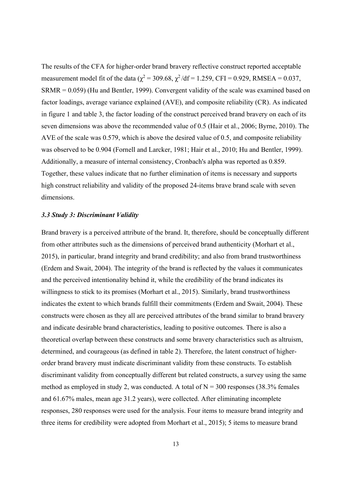The results of the CFA for higher-order brand bravery reflective construct reported acceptable measurement model fit of the data ( $\chi^2$  = 309.68,  $\chi^2$ /df = 1.259, CFI = 0.929, RMSEA = 0.037, SRMR = 0.059) (Hu and Bentler, 1999). Convergent validity of the scale was examined based on factor loadings, average variance explained (AVE), and composite reliability (CR). As indicated in figure 1 and table 3, the factor loading of the construct perceived brand bravery on each of its seven dimensions was above the recommended value of 0.5 (Hair et al., 2006; Byrne, 2010). The AVE of the scale was 0.579, which is above the desired value of 0.5, and composite reliability was observed to be 0.904 (Fornell and Larcker, 1981; Hair et al., 2010; Hu and Bentler, 1999). Additionally, a measure of internal consistency, Cronbach's alpha was reported as 0.859. Together, these values indicate that no further elimination of items is necessary and supports high construct reliability and validity of the proposed 24-items brave brand scale with seven dimensions.

#### *3.3 Study 3: Discriminant Validity*

Brand bravery is a perceived attribute of the brand. It, therefore, should be conceptually different from other attributes such as the dimensions of perceived brand authenticity (Morhart et al., 2015), in particular, brand integrity and brand credibility; and also from brand trustworthiness (Erdem and Swait, 2004). The integrity of the brand is reflected by the values it communicates and the perceived intentionality behind it, while the credibility of the brand indicates its willingness to stick to its promises (Morhart et al., 2015). Similarly, brand trustworthiness indicates the extent to which brands fulfill their commitments (Erdem and Swait, 2004). These constructs were chosen as they all are perceived attributes of the brand similar to brand bravery and indicate desirable brand characteristics, leading to positive outcomes. There is also a theoretical overlap between these constructs and some bravery characteristics such as altruism, determined, and courageous (as defined in table 2). Therefore, the latent construct of higherorder brand bravery must indicate discriminant validity from these constructs. To establish discriminant validity from conceptually different but related constructs, a survey using the same method as employed in study 2, was conducted. A total of  $N = 300$  responses (38.3% females and 61.67% males, mean age 31.2 years), were collected. After eliminating incomplete responses, 280 responses were used for the analysis. Four items to measure brand integrity and three items for credibility were adopted from Morhart et al., 2015); 5 items to measure brand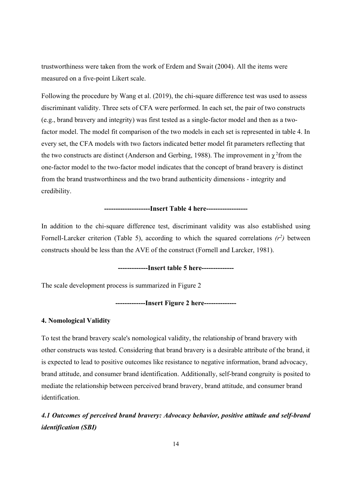trustworthiness were taken from the work of Erdem and Swait (2004). All the items were measured on a five-point Likert scale.

Following the procedure by Wang et al. (2019), the chi-square difference test was used to assess discriminant validity. Three sets of CFA were performed. In each set, the pair of two constructs (e.g., brand bravery and integrity) was first tested as a single-factor model and then as a twofactor model. The model fit comparison of the two models in each set is represented in table 4. In every set, the CFA models with two factors indicated better model fit parameters reflecting that the two constructs are distinct (Anderson and Gerbing, 1988). The improvement in  $\gamma^2$  from the one-factor model to the two-factor model indicates that the concept of brand bravery is distinct from the brand trustworthiness and the two brand authenticity dimensions - integrity and credibility.

## **--------------------Insert Table 4 here------------------**

In addition to the chi-square difference test, discriminant validity was also established using Fornell-Larcker criterion (Table 5), according to which the squared correlations  $(r^2)$  between constructs should be less than the AVE of the construct (Fornell and Larcker, 1981).

## **-------------Insert table 5 here--------------**

The scale development process is summarized in Figure 2

### **-------------Insert Figure 2 here--------------**

### **4. Nomological Validity**

To test the brand bravery scale's nomological validity, the relationship of brand bravery with other constructs was tested. Considering that brand bravery is a desirable attribute of the brand, it is expected to lead to positive outcomes like resistance to negative information, brand advocacy, brand attitude, and consumer brand identification. Additionally, self-brand congruity is posited to mediate the relationship between perceived brand bravery, brand attitude, and consumer brand identification.

*4.1 Outcomes of perceived brand bravery: Advocacy behavior, positive attitude and self-brand identification (SBI)*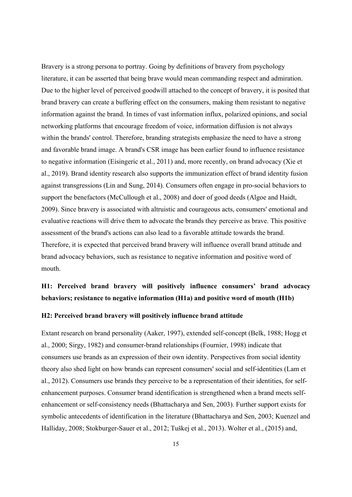Bravery is a strong persona to portray. Going by definitions of bravery from psychology literature, it can be asserted that being brave would mean commanding respect and admiration. Due to the higher level of perceived goodwill attached to the concept of bravery, it is posited that brand bravery can create a buffering effect on the consumers, making them resistant to negative information against the brand. In times of vast information influx, polarized opinions, and social networking platforms that encourage freedom of voice, information diffusion is not always within the brands' control. Therefore, branding strategists emphasize the need to have a strong and favorable brand image. A brand's CSR image has been earlier found to influence resistance to negative information (Eisingeric et al., 2011) and, more recently, on brand advocacy (Xie et al., 2019). Brand identity research also supports the immunization effect of brand identity fusion against transgressions (Lin and Sung, 2014). Consumers often engage in pro-social behaviors to support the benefactors (McCullough et al., 2008) and doer of good deeds (Algoe and Haidt, 2009). Since bravery is associated with altruistic and courageous acts, consumers' emotional and evaluative reactions will drive them to advocate the brands they perceive as brave. This positive assessment of the brand's actions can also lead to a favorable attitude towards the brand. Therefore, it is expected that perceived brand bravery will influence overall brand attitude and brand advocacy behaviors, such as resistance to negative information and positive word of mouth.

## **H1: Perceived brand bravery will positively influence consumers' brand advocacy behaviors; resistance to negative information (H1a) and positive word of mouth (H1b)**

## **H2: Perceived brand bravery will positively influence brand attitude**

Extant research on brand personality (Aaker, 1997), extended self-concept (Belk, 1988; Hogg et al., 2000; Sirgy, 1982) and consumer-brand relationships (Fournier, 1998) indicate that consumers use brands as an expression of their own identity. Perspectives from social identity theory also shed light on how brands can represent consumers' social and self-identities (Lam et al., 2012). Consumers use brands they perceive to be a representation of their identities, for selfenhancement purposes. Consumer brand identification is strengthened when a brand meets selfenhancement or self-consistency needs (Bhattacharya and Sen, 2003). Further support exists for symbolic antecedents of identification in the literature (Bhattacharya and Sen, 2003; Kuenzel and Halliday, 2008; Stokburger-Sauer et al., 2012; Tuškej et al., 2013). Wolter et al., (2015) and,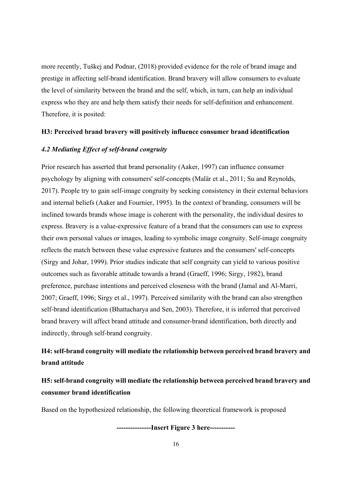more recently, Tuškej and Podnar, (2018) provided evidence for the role of brand image and prestige in affecting self-brand identification. Brand bravery will allow consumers to evaluate the level of similarity between the brand and the self, which, in turn, can help an individual express who they are and help them satisfy their needs for self-definition and enhancement. Therefore, it is posited:

### **H3: Perceived brand bravery will positively influence consumer brand identification**

## *4.2 Mediating Effect of self-brand congruity*

Prior research has asserted that brand personality (Aaker, 1997) can influence consumer psychology by aligning with consumers' self-concepts (Malär et al., 2011; Su and Reynolds, 2017). People try to gain self-image congruity by seeking consistency in their external behaviors and internal beliefs (Aaker and Fournier, 1995). In the context of branding, consumers will be inclined towards brands whose image is coherent with the personality, the individual desires to express. Bravery is a value-expressive feature of a brand that the consumers can use to express their own personal values or images, leading to symbolic image congruity. Self-image congruity reflects the match between these value expressive features and the consumers' self-concepts (Sirgy and Johar, 1999). Prior studies indicate that self congruity can yield to various positive outcomes such as favorable attitude towards a brand (Graeff, 1996; Sirgy, 1982), brand preference, purchase intentions and perceived closeness with the brand (Jamal and Al-Marri, 2007; Graeff, 1996; Sirgy et al., 1997). Perceived similarity with the brand can also strengthen self-brand identification (Bhattacharya and Sen, 2003). Therefore, it is inferred that perceived brand bravery will affect brand attitude and consumer-brand identification, both directly and indirectly, through self-brand congruity.

## **H4: self-brand congruity will mediate the relationship between perceived brand bravery and brand attitude**

## **H5: self-brand congruity will mediate the relationship between perceived brand bravery and consumer brand identification**

Based on the hypothesized relationship, the following theoretical framework is proposed

**---------------Insert Figure 3 here-----------**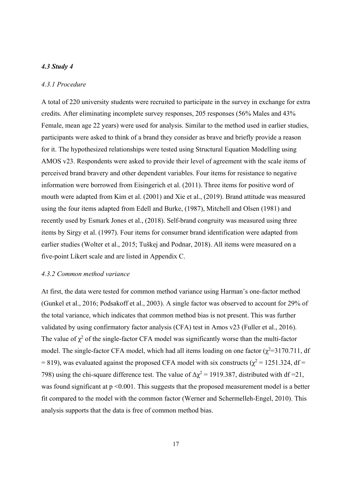## *4.3 Study 4*

### *4.3.1 Procedure*

A total of 220 university students were recruited to participate in the survey in exchange for extra credits. After eliminating incomplete survey responses, 205 responses (56% Males and 43% Female, mean age 22 years) were used for analysis. Similar to the method used in earlier studies, participants were asked to think of a brand they consider as brave and briefly provide a reason for it. The hypothesized relationships were tested using Structural Equation Modelling using AMOS v23. Respondents were asked to provide their level of agreement with the scale items of perceived brand bravery and other dependent variables. Four items for resistance to negative information were borrowed from Eisingerich et al. (2011). Three items for positive word of mouth were adapted from Kim et al. (2001) and Xie et al., (2019). Brand attitude was measured using the four items adapted from Edell and Burke, (1987), Mitchell and Olsen (1981) and recently used by Esmark Jones et al., (2018). Self-brand congruity was measured using three items by Sirgy et al. (1997). Four items for consumer brand identification were adapted from earlier studies (Wolter et al., 2015; Tuškej and Podnar, 2018). All items were measured on a five-point Likert scale and are listed in Appendix C.

### *4.3.2 Common method variance*

At first, the data were tested for common method variance using Harman's one-factor method (Gunkel et al., 2016; Podsakoff et al., 2003). A single factor was observed to account for 29% of the total variance, which indicates that common method bias is not present. This was further validated by using confirmatory factor analysis (CFA) test in Amos v23 (Fuller et al., 2016). The value of  $\chi^2$  of the single-factor CFA model was significantly worse than the multi-factor model. The single-factor CFA model, which had all items loading on one factor  $(\chi^2=3170.711)$ , df = 819), was evaluated against the proposed CFA model with six constructs ( $\chi^2$  = 1251.324, df = 798) using the chi-square difference test. The value of  $\Delta \chi^2 = 1919.387$ , distributed with df =21, was found significant at  $p \le 0.001$ . This suggests that the proposed measurement model is a better fit compared to the model with the common factor (Werner and Schermelleh-Engel, 2010). This analysis supports that the data is free of common method bias.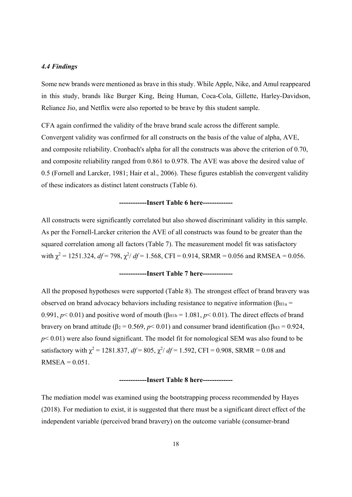### *4.4 Findings*

Some new brands were mentioned as brave in this study. While Apple, Nike, and Amul reappeared in this study, brands like Burger King, Being Human, Coca-Cola, Gillette, Harley-Davidson, Reliance Jio, and Netflix were also reported to be brave by this student sample.

CFA again confirmed the validity of the brave brand scale across the different sample. Convergent validity was confirmed for all constructs on the basis of the value of alpha, AVE, and composite reliability. Cronbach's alpha for all the constructs was above the criterion of 0.70, and composite reliability ranged from 0.861 to 0.978. The AVE was above the desired value of 0.5 (Fornell and Larcker, 1981; Hair et al., 2006). These figures establish the convergent validity of these indicators as distinct latent constructs (Table 6).

### **------------Insert Table 6 here-------------**

All constructs were significantly correlated but also showed discriminant validity in this sample. As per the Fornell-Larcker criterion the AVE of all constructs was found to be greater than the squared correlation among all factors (Table 7). The measurement model fit was satisfactory with  $\chi^2$  = 1251.324, *df* = 798,  $\chi^2/df$  = 1.568, CFI = 0.914, SRMR = 0.056 and RMSEA = 0.056.

### **------------Insert Table 7 here-------------**

All the proposed hypotheses were supported (Table 8). The strongest effect of brand bravery was observed on brand advocacy behaviors including resistance to negative information ( $\beta_{H1a}$  = 0.991,  $p$  < 0.01) and positive word of mouth ( $\beta$ <sub>H1b</sub> = 1.081,  $p$  < 0.01). The direct effects of brand bravery on brand attitude ( $β<sub>2</sub> = 0.569$ ,  $p < 0.01$ ) and consumer brand identification ( $β<sub>H3</sub> = 0.924$ , *p* < 0.01) were also found significant. The model fit for nomological SEM was also found to be satisfactory with  $\chi^2 = 1281.837$ ,  $df = 805$ ,  $\chi^2/df = 1.592$ , CFI = 0.908, SRMR = 0.08 and  $RMSEA = 0.051$ .

### **------------Insert Table 8 here-------------**

The mediation model was examined using the bootstrapping process recommended by Hayes (2018). For mediation to exist, it is suggested that there must be a significant direct effect of the independent variable (perceived brand bravery) on the outcome variable (consumer-brand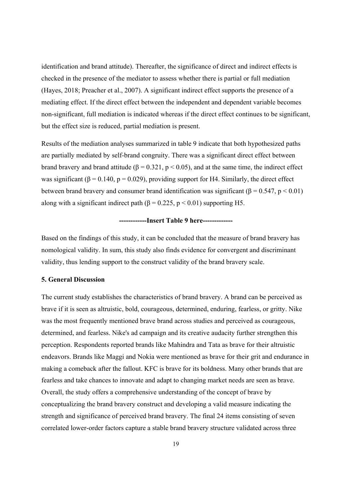identification and brand attitude). Thereafter, the significance of direct and indirect effects is checked in the presence of the mediator to assess whether there is partial or full mediation (Hayes, 2018; Preacher et al., 2007). A significant indirect effect supports the presence of a mediating effect. If the direct effect between the independent and dependent variable becomes non-significant, full mediation is indicated whereas if the direct effect continues to be significant, but the effect size is reduced, partial mediation is present.

Results of the mediation analyses summarized in table 9 indicate that both hypothesized paths are partially mediated by self-brand congruity. There was a significant direct effect between brand bravery and brand attitude ( $\beta = 0.321$ ,  $p < 0.05$ ), and at the same time, the indirect effect was significant ( $\beta$  = 0.140, p = 0.029), providing support for H4. Similarly, the direct effect between brand bravery and consumer brand identification was significant ( $\beta = 0.547$ ,  $p < 0.01$ ) along with a significant indirect path ( $\beta$  = 0.225, p < 0.01) supporting H5.

## **------------Insert Table 9 here-------------**

Based on the findings of this study, it can be concluded that the measure of brand bravery has nomological validity. In sum, this study also finds evidence for convergent and discriminant validity, thus lending support to the construct validity of the brand bravery scale.

### **5. General Discussion**

The current study establishes the characteristics of brand bravery. A brand can be perceived as brave if it is seen as altruistic, bold, courageous, determined, enduring, fearless, or gritty. Nike was the most frequently mentioned brave brand across studies and perceived as courageous, determined, and fearless. Nike's ad campaign and its creative audacity further strengthen this perception. Respondents reported brands like Mahindra and Tata as brave for their altruistic endeavors. Brands like Maggi and Nokia were mentioned as brave for their grit and endurance in making a comeback after the fallout. KFC is brave for its boldness. Many other brands that are fearless and take chances to innovate and adapt to changing market needs are seen as brave. Overall, the study offers a comprehensive understanding of the concept of brave by conceptualizing the brand bravery construct and developing a valid measure indicating the strength and significance of perceived brand bravery. The final 24 items consisting of seven correlated lower-order factors capture a stable brand bravery structure validated across three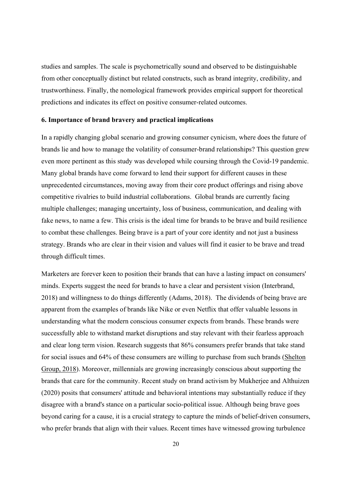studies and samples. The scale is psychometrically sound and observed to be distinguishable from other conceptually distinct but related constructs, such as brand integrity, credibility, and trustworthiness. Finally, the nomological framework provides empirical support for theoretical predictions and indicates its effect on positive consumer-related outcomes.

### **6. Importance of brand bravery and practical implications**

In a rapidly changing global scenario and growing consumer cynicism, where does the future of brands lie and how to manage the volatility of consumer-brand relationships? This question grew even more pertinent as this study was developed while coursing through the Covid-19 pandemic. Many global brands have come forward to lend their support for different causes in these unprecedented circumstances, moving away from their core product offerings and rising above competitive rivalries to build industrial collaborations. Global brands are currently facing multiple challenges; managing uncertainty, loss of business, communication, and dealing with fake news, to name a few. This crisis is the ideal time for brands to be brave and build resilience to combat these challenges. Being brave is a part of your core identity and not just a business strategy. Brands who are clear in their vision and values will find it easier to be brave and tread through difficult times.

Marketers are forever keen to position their brands that can have a lasting impact on consumers' minds. Experts suggest the need for brands to have a clear and persistent vision (Interbrand, 2018) and willingness to do things differently (Adams, 2018). The dividends of being brave are apparent from the examples of brands like Nike or even Netflix that offer valuable lessons in understanding what the modern conscious consumer expects from brands. These brands were successfully able to withstand market disruptions and stay relevant with their fearless approach and clear long term vision. Research suggests that 86% consumers prefer brands that take stand for social issues and 64% of these consumers are willing to purchase from such brands (Shelton Group, 2018). Moreover, millennials are growing increasingly conscious about supporting the brands that care for the community. Recent study on brand activism by Mukherjee and Althuizen (2020) posits that consumers' attitude and behavioral intentions may substantially reduce if they disagree with a brand's stance on a particular socio-political issue. Although being brave goes beyond caring for a cause, it is a crucial strategy to capture the minds of belief-driven consumers, who prefer brands that align with their values. Recent times have witnessed growing turbulence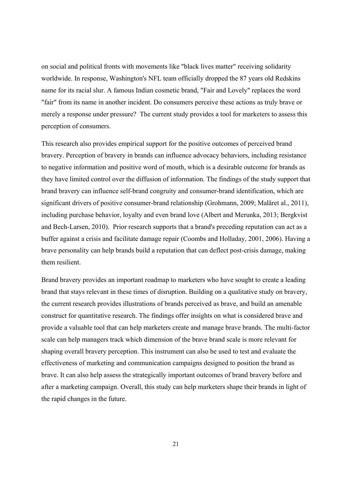on social and political fronts with movements like "black lives matter" receiving solidarity worldwide. In response, Washington's NFL team officially dropped the 87 years old Redskins name for its racial slur. A famous Indian cosmetic brand, "Fair and Lovely" replaces the word "fair" from its name in another incident. Do consumers perceive these actions as truly brave or merely a response under pressure? The current study provides a tool for marketers to assess this perception of consumers.

This research also provides empirical support for the positive outcomes of perceived brand bravery. Perception of bravery in brands can influence advocacy behaviors, including resistance to negative information and positive word of mouth, which is a desirable outcome for brands as they have limited control over the diffusion of information. The findings of the study support that brand bravery can influence self-brand congruity and consumer-brand identification, which are significant drivers of positive consumer-brand relationship (Grohmann, 2009; Maläret al., 2011), including purchase behavior, loyalty and even brand love (Albert and Merunka, 2013; Bergkvist and Bech-Larsen, 2010). Prior research supports that a brand's preceding reputation can act as a buffer against a crisis and facilitate damage repair (Coombs and Holladay, 2001, 2006). Having a brave personality can help brands build a reputation that can deflect post-crisis damage, making them resilient.

Brand bravery provides an important roadmap to marketers who have sought to create a leading brand that stays relevant in these times of disruption. Building on a qualitative study on bravery, the current research provides illustrations of brands perceived as brave, and build an amenable construct for quantitative research. The findings offer insights on what is considered brave and provide a valuable tool that can help marketers create and manage brave brands. The multi-factor scale can help managers track which dimension of the brave brand scale is more relevant for shaping overall bravery perception. This instrument can also be used to test and evaluate the effectiveness of marketing and communication campaigns designed to position the brand as brave. It can also help assess the strategically important outcomes of brand bravery before and after a marketing campaign. Overall, this study can help marketers shape their brands in light of the rapid changes in the future.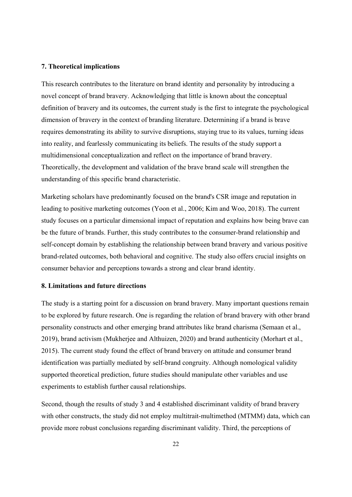#### **7. Theoretical implications**

This research contributes to the literature on brand identity and personality by introducing a novel concept of brand bravery. Acknowledging that little is known about the conceptual definition of bravery and its outcomes, the current study is the first to integrate the psychological dimension of bravery in the context of branding literature. Determining if a brand is brave requires demonstrating its ability to survive disruptions, staying true to its values, turning ideas into reality, and fearlessly communicating its beliefs. The results of the study support a multidimensional conceptualization and reflect on the importance of brand bravery. Theoretically, the development and validation of the brave brand scale will strengthen the understanding of this specific brand characteristic.

Marketing scholars have predominantly focused on the brand's CSR image and reputation in leading to positive marketing outcomes (Yoon et al., 2006; Kim and Woo, 2018). The current study focuses on a particular dimensional impact of reputation and explains how being brave can be the future of brands. Further, this study contributes to the consumer-brand relationship and self-concept domain by establishing the relationship between brand bravery and various positive brand-related outcomes, both behavioral and cognitive. The study also offers crucial insights on consumer behavior and perceptions towards a strong and clear brand identity.

### **8. Limitations and future directions**

The study is a starting point for a discussion on brand bravery. Many important questions remain to be explored by future research. One is regarding the relation of brand bravery with other brand personality constructs and other emerging brand attributes like brand charisma (Semaan et al., 2019), brand activism (Mukherjee and Althuizen, 2020) and brand authenticity (Morhart et al., 2015). The current study found the effect of brand bravery on attitude and consumer brand identification was partially mediated by self-brand congruity. Although nomological validity supported theoretical prediction, future studies should manipulate other variables and use experiments to establish further causal relationships.

Second, though the results of study 3 and 4 established discriminant validity of brand bravery with other constructs, the study did not employ multitrait-multimethod (MTMM) data, which can provide more robust conclusions regarding discriminant validity. Third, the perceptions of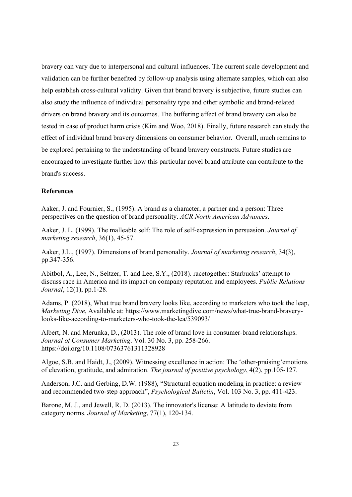bravery can vary due to interpersonal and cultural influences. The current scale development and validation can be further benefited by follow-up analysis using alternate samples, which can also help establish cross-cultural validity. Given that brand bravery is subjective, future studies can also study the influence of individual personality type and other symbolic and brand-related drivers on brand bravery and its outcomes. The buffering effect of brand bravery can also be tested in case of product harm crisis (Kim and Woo, 2018). Finally, future research can study the effect of individual brand bravery dimensions on consumer behavior. Overall, much remains to be explored pertaining to the understanding of brand bravery constructs. Future studies are encouraged to investigate further how this particular novel brand attribute can contribute to the brand's success.

## **References**

Aaker, J. and Fournier, S., (1995). A brand as a character, a partner and a person: Three perspectives on the question of brand personality. *ACR North American Advances*.

Aaker, J. L. (1999). The malleable self: The role of self-expression in persuasion. *Journal of marketing research*, 36(1), 45-57.

Aaker, J.L., (1997). Dimensions of brand personality. *Journal of marketing research*, 34(3), pp.347-356.

Abitbol, A., Lee, N., Seltzer, T. and Lee, S.Y., (2018). racetogether: Starbucks' attempt to discuss race in America and its impact on company reputation and employees. *Public Relations Journal*, 12(1), pp.1-28.

Adams, P. (2018), What true brand bravery looks like, according to marketers who took the leap, *Marketing Dive*, Available at: https://www.marketingdive.com/news/what-true-brand-braverylooks-like-according-to-marketers-who-took-the-lea/539093/

Albert, N. and Merunka, D., (2013). The role of brand love in consumer-brand relationships. *Journal of Consumer Marketing*. Vol. 30 No. 3, pp. 258-266. https://doi.org/10.1108/07363761311328928

Algoe, S.B. and Haidt, J., (2009). Witnessing excellence in action: The 'other-praising'emotions of elevation, gratitude, and admiration. *The journal of positive psychology*, 4(2), pp.105-127.

Anderson, J.C. and Gerbing, D.W. (1988), "Structural equation modeling in practice: a review and recommended two-step approach", *Psychological Bulletin*, Vol. 103 No. 3, pp. 411-423.

Barone, M. J., and Jewell, R. D. (2013). The innovator's license: A latitude to deviate from category norms. *Journal of Marketing*, 77(1), 120-134.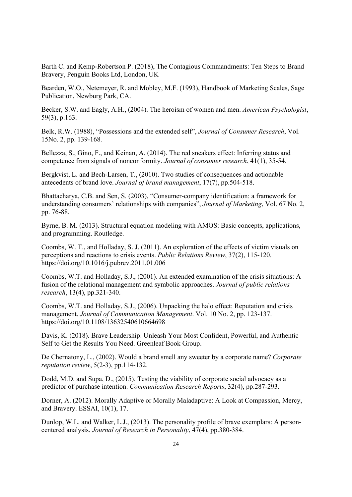Barth C. and Kemp-Robertson P. (2018), The Contagious Commandments: Ten Steps to Brand Bravery, Penguin Books Ltd, London, UK

Bearden, W.O., Netemeyer, R. and Mobley, M.F. (1993), Handbook of Marketing Scales, Sage Publication, Newburg Park, CA.

Becker, S.W. and Eagly, A.H., (2004). The heroism of women and men. *American Psychologist*, 59(3), p.163.

Belk, R.W. (1988), "Possessions and the extended self", *Journal of Consumer Research*, Vol. 15No. 2, pp. 139-168.

Bellezza, S., Gino, F., and Keinan, A. (2014). The red sneakers effect: Inferring status and competence from signals of nonconformity. *Journal of consumer research*, 41(1), 35-54.

Bergkvist, L. and Bech-Larsen, T., (2010). Two studies of consequences and actionable antecedents of brand love. *Journal of brand management*, 17(7), pp.504-518.

Bhattacharya, C.B. and Sen, S. (2003), "Consumer-company identification: a framework for understanding consumers' relationships with companies", *Journal of Marketing*, Vol. 67 No. 2, pp. 76-88.

Byrne, B. M. (2013). Structural equation modeling with AMOS: Basic concepts, applications, and programming. Routledge.

Coombs, W. T., and Holladay, S. J. (2011). An exploration of the effects of victim visuals on perceptions and reactions to crisis events. *Public Relations Review*, 37(2), 115-120. https://doi.org/10.1016/j.pubrev.2011.01.006

Coombs, W.T. and Holladay, S.J., (2001). An extended examination of the crisis situations: A fusion of the relational management and symbolic approaches. *Journal of public relations research*, 13(4), pp.321-340.

Coombs, W.T. and Holladay, S.J., (2006). Unpacking the halo effect: Reputation and crisis management. *Journal of Communication Management*. Vol. 10 No. 2, pp. 123-137. https://doi.org/10.1108/13632540610664698

Davis, K. (2018). Brave Leadership: Unleash Your Most Confident, Powerful, and Authentic Self to Get the Results You Need. Greenleaf Book Group.

De Chernatony, L., (2002). Would a brand smell any sweeter by a corporate name? *Corporate reputation review*, 5(2-3), pp.114-132.

Dodd, M.D. and Supa, D., (2015). Testing the viability of corporate social advocacy as a predictor of purchase intention. *Communication Research Reports*, 32(4), pp.287-293.

Dorner, A. (2012). Morally Adaptive or Morally Maladaptive: A Look at Compassion, Mercy, and Bravery. ESSAI, 10(1), 17.

Dunlop, W.L. and Walker, L.J., (2013). The personality profile of brave exemplars: A personcentered analysis. *Journal of Research in Personality*, 47(4), pp.380-384.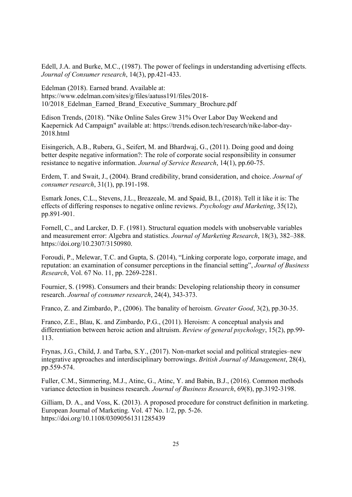Edell, J.A. and Burke, M.C., (1987). The power of feelings in understanding advertising effects. *Journal of Consumer research*, 14(3), pp.421-433.

Edelman (2018). Earned brand. Available at: https://www.edelman.com/sites/g/files/aatuss191/files/2018- 10/2018\_Edelman\_Earned\_Brand\_Executive\_Summary\_Brochure.pdf

Edison Trends, (2018). "Nike Online Sales Grew 31% Over Labor Day Weekend and Kaepernick Ad Campaign" available at: https://trends.edison.tech/research/nike-labor-day-2018.html

Eisingerich, A.B., Rubera, G., Seifert, M. and Bhardwaj, G., (2011). Doing good and doing better despite negative information?: The role of corporate social responsibility in consumer resistance to negative information. *Journal of Service Research*, 14(1), pp.60-75.

Erdem, T. and Swait, J., (2004). Brand credibility, brand consideration, and choice. *Journal of consumer research*, 31(1), pp.191-198.

Esmark Jones, C.L., Stevens, J.L., Breazeale, M. and Spaid, B.I., (2018). Tell it like it is: The effects of differing responses to negative online reviews. *Psychology and Marketing*, 35(12), pp.891-901.

Fornell, C., and Larcker, D. F. (1981). Structural equation models with unobservable variables and measurement error: Algebra and statistics. *Journal of Marketing Research*, 18(3), 382–388. https://doi.org/10.2307/3150980.

Foroudi, P., Melewar, T.C. and Gupta, S. (2014), "Linking corporate logo, corporate image, and reputation: an examination of consumer perceptions in the financial setting", *Journal of Business Research*, Vol. 67 No. 11, pp. 2269-2281.

Fournier, S. (1998). Consumers and their brands: Developing relationship theory in consumer research. *Journal of consumer research*, 24(4), 343-373.

Franco, Z. and Zimbardo, P., (2006). The banality of heroism. *Greater Good*, 3(2), pp.30-35.

Franco, Z.E., Blau, K. and Zimbardo, P.G., (2011). Heroism: A conceptual analysis and differentiation between heroic action and altruism. *Review of general psychology*, 15(2), pp.99- 113.

Frynas, J.G., Child, J. and Tarba, S.Y., (2017). Non‐market social and political strategies–new integrative approaches and interdisciplinary borrowings. *British Journal of Management*, 28(4), pp.559-574.

Fuller, C.M., Simmering, M.J., Atinc, G., Atinc, Y. and Babin, B.J., (2016). Common methods variance detection in business research. *Journal of Business Research*, 69(8), pp.3192-3198.

Gilliam, D. A., and Voss, K. (2013). A proposed procedure for construct definition in marketing. European Journal of Marketing. Vol. 47 No. 1/2, pp. 5-26. https://doi.org/10.1108/03090561311285439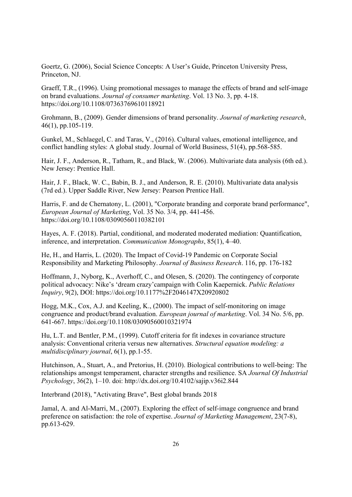Goertz, G. (2006), Social Science Concepts: A User's Guide, Princeton University Press, Princeton, NJ.

Graeff, T.R., (1996). Using promotional messages to manage the effects of brand and self‐image on brand evaluations. *Journal of consumer marketing*. Vol. 13 No. 3, pp. 4-18. https://doi.org/10.1108/07363769610118921

Grohmann, B., (2009). Gender dimensions of brand personality. *Journal of marketing research*, 46(1), pp.105-119.

Gunkel, M., Schlaegel, C. and Taras, V., (2016). Cultural values, emotional intelligence, and conflict handling styles: A global study. Journal of World Business, 51(4), pp.568-585.

Hair, J. F., Anderson, R., Tatham, R., and Black, W. (2006). Multivariate data analysis (6th ed.). New Jersey: Prentice Hall.

Hair, J. F., Black, W. C., Babin, B. J., and Anderson, R. E. (2010). Multivariate data analysis (7rd ed.). Upper Saddle River, New Jersey: Pearson Prentice Hall.

Harris, F. and de Chernatony, L. (2001), "Corporate branding and corporate brand performance", *European Journal of Marketing*, Vol. 35 No. 3/4, pp. 441-456. https://doi.org/10.1108/03090560110382101

Hayes, A. F. (2018). Partial, conditional, and moderated moderated mediation: Quantification, inference, and interpretation. *Communication Monographs*, 85(1), 4–40.

He, H., and Harris, L. (2020). The Impact of Covid-19 Pandemic on Corporate Social Responsibility and Marketing Philosophy. *Journal of Business Research*. 116, pp. 176-182

Hoffmann, J., Nyborg, K., Averhoff, C., and Olesen, S. (2020). The contingency of corporate political advocacy: Nike's 'dream crazy'campaign with Colin Kaepernick. *Public Relations Inquiry*, 9(2), DOI: https://doi.org/10.1177%2F2046147X20920802

Hogg, M.K., Cox, A.J. and Keeling, K., (2000). The impact of self-monitoring on image congruence and product/brand evaluation. *European journal of marketing*. Vol. 34 No. 5/6, pp. 641-667. https://doi.org/10.1108/03090560010321974

Hu, L.T. and Bentler, P.M., (1999). Cutoff criteria for fit indexes in covariance structure analysis: Conventional criteria versus new alternatives. *Structural equation modeling: a multidisciplinary journal*, 6(1), pp.1-55.

Hutchinson, A., Stuart, A., and Pretorius, H. (2010). Biological contributions to well-being: The relationships amongst temperament, character strengths and resilience. SA *Journal Of Industrial Psychology*, 36(2), 1–10. doi: http://dx.doi.org/10.4102/sajip.v36i2.844

Interbrand (2018), "Activating Brave", Best global brands 2018

Jamal, A. and Al-Marri, M., (2007). Exploring the effect of self-image congruence and brand preference on satisfaction: the role of expertise. *Journal of Marketing Management*, 23(7-8), pp.613-629.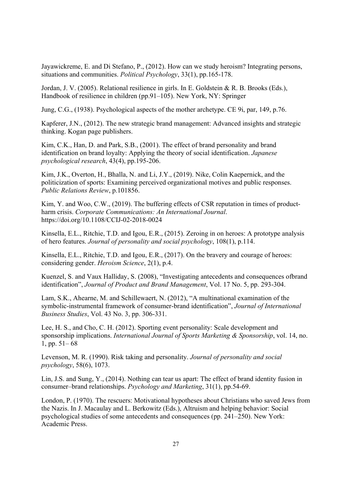Jayawickreme, E. and Di Stefano, P., (2012). How can we study heroism? Integrating persons, situations and communities. *Political Psychology*, 33(1), pp.165-178.

Jordan, J. V. (2005). Relational resilience in girls. In E. Goldstein & R. B. Brooks (Eds.), Handbook of resilience in children (pp.91–105). New York, NY: Springer

Jung, C.G., (1938). Psychological aspects of the mother archetype. CE 9i, par, 149, p.76.

Kapferer, J.N., (2012). The new strategic brand management: Advanced insights and strategic thinking. Kogan page publishers.

Kim, C.K., Han, D. and Park, S.B., (2001). The effect of brand personality and brand identification on brand loyalty: Applying the theory of social identification. *Japanese psychological research*, 43(4), pp.195-206.

Kim, J.K., Overton, H., Bhalla, N. and Li, J.Y., (2019). Nike, Colin Kaepernick, and the politicization of sports: Examining perceived organizational motives and public responses. *Public Relations Review*, p.101856.

Kim, Y. and Woo, C.W., (2019). The buffering effects of CSR reputation in times of productharm crisis. *Corporate Communications: An International Journal*. https://doi.org/10.1108/CCIJ-02-2018-0024

Kinsella, E.L., Ritchie, T.D. and Igou, E.R., (2015). Zeroing in on heroes: A prototype analysis of hero features. *Journal of personality and social psychology*, 108(1), p.114.

Kinsella, E.L., Ritchie, T.D. and Igou, E.R., (2017). On the bravery and courage of heroes: considering gender. *Heroism Science*, 2(1), p.4.

Kuenzel, S. and Vaux Halliday, S. (2008), "Investigating antecedents and consequences ofbrand identification", *Journal of Product and Brand Management*, Vol. 17 No. 5, pp. 293-304.

Lam, S.K., Ahearne, M. and Schillewaert, N. (2012), "A multinational examination of the symbolic-instrumental framework of consumer-brand identification", *Journal of International Business Studies*, Vol. 43 No. 3, pp. 306-331.

Lee, H. S., and Cho, C. H. (2012). Sporting event personality: Scale development and sponsorship implications. *International Journal of Sports Marketing & Sponsorship*, vol. 14, no. 1, pp.  $51-68$ 

Levenson, M. R. (1990). Risk taking and personality. *Journal of personality and social psychology*, 58(6), 1073.

Lin, J.S. and Sung, Y., (2014). Nothing can tear us apart: The effect of brand identity fusion in consumer–brand relationships. *Psychology and Marketing*, 31(1), pp.54-69.

London, P. (1970). The rescuers: Motivational hypotheses about Christians who saved Jews from the Nazis. In J. Macaulay and L. Berkowitz (Eds.), Altruism and helping behavior: Social psychological studies of some antecedents and consequences (pp. 241–250). New York: Academic Press.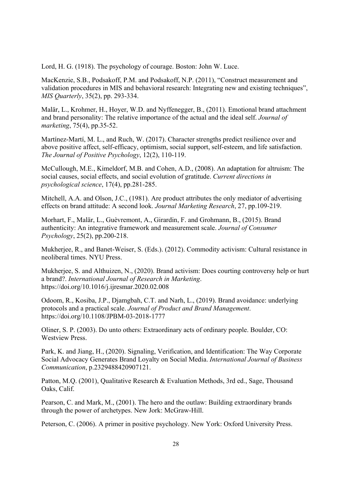Lord, H. G. (1918). The psychology of courage. Boston: John W. Luce.

MacKenzie, S.B., Podsakoff, P.M. and Podsakoff, N.P. (2011), "Construct measurement and validation procedures in MIS and behavioral research: Integrating new and existing techniques", *MIS Quarterly*, 35(2), pp. 293-334.

Malär, L., Krohmer, H., Hoyer, W.D. and Nyffenegger, B., (2011). Emotional brand attachment and brand personality: The relative importance of the actual and the ideal self. *Journal of marketing*, 75(4), pp.35-52.

Martínez-Martí, M. L., and Ruch, W. (2017). Character strengths predict resilience over and above positive affect, self-efficacy, optimism, social support, self-esteem, and life satisfaction. *The Journal of Positive Psychology*, 12(2), 110-119.

McCullough, M.E., Kimeldorf, M.B. and Cohen, A.D., (2008). An adaptation for altruism: The social causes, social effects, and social evolution of gratitude. *Current directions in psychological science*, 17(4), pp.281-285.

Mitchell, A.A. and Olson, J.C., (1981). Are product attributes the only mediator of advertising effects on brand attitude: A second look. *Journal Marketing Research*, 27, pp.109-219.

Morhart, F., Malär, L., Guèvremont, A., Girardin, F. and Grohmann, B., (2015). Brand authenticity: An integrative framework and measurement scale. *Journal of Consumer Psychology*, 25(2), pp.200-218.

Mukherjee, R., and Banet-Weiser, S. (Eds.). (2012). Commodity activism: Cultural resistance in neoliberal times. NYU Press.

Mukherjee, S. and Althuizen, N., (2020). Brand activism: Does courting controversy help or hurt a brand?. *International Journal of Research in Marketing*. https://doi.org/10.1016/j.ijresmar.2020.02.008

Odoom, R., Kosiba, J.P., Djamgbah, C.T. and Narh, L., (2019). Brand avoidance: underlying protocols and a practical scale. *Journal of Product and Brand Management*. https://doi.org/10.1108/JPBM-03-2018-1777

Oliner, S. P. (2003). Do unto others: Extraordinary acts of ordinary people. Boulder, CO: Westview Press.

Park, K. and Jiang, H., (2020). Signaling, Verification, and Identification: The Way Corporate Social Advocacy Generates Brand Loyalty on Social Media. *International Journal of Business Communication*, p.2329488420907121.

Patton, M.Q. (2001), Qualitative Research & Evaluation Methods, 3rd ed., Sage, Thousand Oaks, Calif.

Pearson, C. and Mark, M., (2001). The hero and the outlaw: Building extraordinary brands through the power of archetypes. New Jork: McGraw-Hill.

Peterson, C. (2006). A primer in positive psychology. New York: Oxford University Press.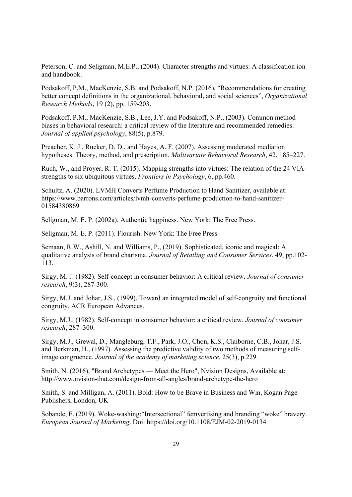Peterson, C. and Seligman, M.E.P., (2004). Character strengths and virtues: A classification ion and handbook.

Podsakoff, P.M., MacKenzie, S.B. and Podsakoff, N.P. (2016), "Recommendations for creating better concept definitions in the organizational, behavioral, and social sciences", *Organizational Research Methods*, 19 (2), pp. 159-203.

Podsakoff, P.M., MacKenzie, S.B., Lee, J.Y. and Podsakoff, N.P., (2003). Common method biases in behavioral research: a critical review of the literature and recommended remedies. *Journal of applied psychology*, 88(5), p.879.

Preacher, K. J., Rucker, D. D., and Hayes, A. F. (2007). Assessing moderated mediation hypotheses: Theory, method, and prescription. *Multivariate Behavioral Research*, 42, 185–227.

Ruch, W., and Proyer, R. T. (2015). Mapping strengths into virtues: The relation of the 24 VIAstrengths to six ubiquitous virtues. *Frontiers in Psychology*, 6, pp.460.

Schultz, A. (2020). LVMH Converts Perfume Production to Hand Sanitizer, available at: https://www.barrons.com/articles/lvmh-converts-perfume-production-to-hand-sanitizer-01584380869

Seligman, M. E. P. (2002a). Authentic happiness. New York: The Free Press.

Seligman, M. E. P. (2011). Flourish. New York: The Free Press

Semaan, R.W., Ashill, N. and Williams, P., (2019). Sophisticated, iconic and magical: A qualitative analysis of brand charisma. *Journal of Retailing and Consumer Services*, 49, pp.102- 113.

Sirgy, M. J. (1982). Self-concept in consumer behavior: A critical review. *Journal of consumer research*, 9(3), 287-300.

Sirgy, M.J. and Johar, J.S., (1999). Toward an integrated model of self-congruity and functional congruity. ACR European Advances.

Sirgy, M.J., (1982). Self-concept in consumer behavior: a critical review. *Journal of consumer research*, 287–300.

Sirgy, M.J., Grewal, D., Mangleburg, T.F., Park, J.O., Chon, K.S., Claiborne, C.B., Johar, J.S. and Berkman, H., (1997). Assessing the predictive validity of two methods of measuring selfimage congruence. *Journal of the academy of marketing science*, 25(3), p.229.

Smith, N. (2016), "Brand Archetypes — Meet the Hero", Nvision Designs, Available at: http://www.nvision-that.com/design-from-all-angles/brand-archetype-the-hero

Smith, S. and Milligan, A. (2011). Bold: How to be Brave in Business and Win, Kogan Page Publishers, London, UK

Sobande, F. (2019). Woke-washing:"Intersectional" femvertising and branding "woke" bravery. *European Journal of Marketing*. Doi: https://doi.org/10.1108/EJM-02-2019-0134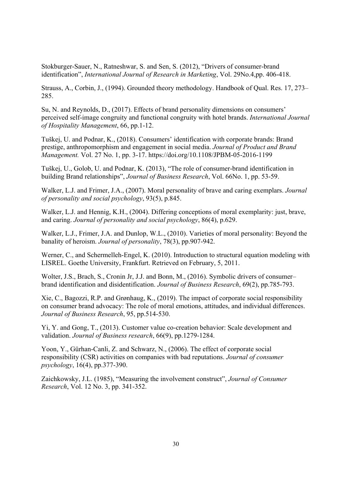Stokburger-Sauer, N., Ratneshwar, S. and Sen, S. (2012), "Drivers of consumer-brand identification", *International Journal of Research in Marketing*, Vol. 29No.4,pp. 406-418.

Strauss, A., Corbin, J., (1994). Grounded theory methodology. Handbook of Qual. Res. 17, 273– 285.

Su, N. and Reynolds, D., (2017). Effects of brand personality dimensions on consumers' perceived self-image congruity and functional congruity with hotel brands. *International Journal of Hospitality Management*, 66, pp.1-12.

Tuškej, U. and Podnar, K., (2018). Consumers' identification with corporate brands: Brand prestige, anthropomorphism and engagement in social media. *Journal of Product and Brand Management.* Vol. 27 No. 1, pp. 3-17. https://doi.org/10.1108/JPBM-05-2016-1199

Tuškej, U., Golob, U. and Podnar, K. (2013), "The role of consumer-brand identification in building Brand relationships", *Journal of Business Research*, Vol. 66No. 1, pp. 53-59.

Walker, L.J. and Frimer, J.A., (2007). Moral personality of brave and caring exemplars. *Journal of personality and social psychology*, 93(5), p.845.

Walker, L.J. and Hennig, K.H., (2004). Differing conceptions of moral exemplarity: just, brave, and caring. *Journal of personality and social psychology*, 86(4), p.629.

Walker, L.J., Frimer, J.A. and Dunlop, W.L., (2010). Varieties of moral personality: Beyond the banality of heroism. *Journal of personality*, 78(3), pp.907-942.

Werner, C., and Schermelleh-Engel, K. (2010). Introduction to structural equation modeling with LISREL. Goethe University, Frankfurt. Retrieved on February, 5, 2011.

Wolter, J.S., Brach, S., Cronin Jr, J.J. and Bonn, M., (2016). Symbolic drivers of consumer– brand identification and disidentification. *Journal of Business Research*, 69(2), pp.785-793.

Xie, C., Bagozzi, R.P. and Grønhaug, K., (2019). The impact of corporate social responsibility on consumer brand advocacy: The role of moral emotions, attitudes, and individual differences. *Journal of Business Research*, 95, pp.514-530.

Yi, Y. and Gong, T., (2013). Customer value co-creation behavior: Scale development and validation. *Journal of Business research*, 66(9), pp.1279-1284.

Yoon, Y., Gürhan‐Canli, Z. and Schwarz, N., (2006). The effect of corporate social responsibility (CSR) activities on companies with bad reputations. *Journal of consumer psychology*, 16(4), pp.377-390.

Zaichkowsky, J.L. (1985), "Measuring the involvement construct", *Journal of Consumer Research*, Vol. 12 No. 3, pp. 341-352.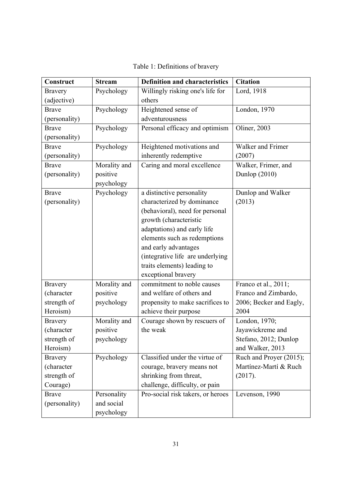| Construct      | <b>Stream</b> | <b>Definition and characteristics</b> | <b>Citation</b>         |
|----------------|---------------|---------------------------------------|-------------------------|
| <b>Bravery</b> | Psychology    | Willingly risking one's life for      | Lord, 1918              |
| (adjective)    |               | others                                |                         |
| <b>Brave</b>   | Psychology    | Heightened sense of                   | London, 1970            |
| (personality)  |               | adventurousness                       |                         |
| <b>Brave</b>   | Psychology    | Personal efficacy and optimism        | Oliner, 2003            |
| (personality)  |               |                                       |                         |
| <b>Brave</b>   | Psychology    | Heightened motivations and            | Walker and Frimer       |
| (personality)  |               | inherently redemptive                 | (2007)                  |
| <b>Brave</b>   | Morality and  | Caring and moral excellence           | Walker, Frimer, and     |
| (personality)  | positive      |                                       | Dunlop $(2010)$         |
|                | psychology    |                                       |                         |
| <b>Brave</b>   | Psychology    | a distinctive personality             | Dunlop and Walker       |
| (personality)  |               | characterized by dominance            | (2013)                  |
|                |               | (behavioral), need for personal       |                         |
|                |               | growth (characteristic                |                         |
|                |               | adaptations) and early life           |                         |
|                |               | elements such as redemptions          |                         |
|                |               | and early advantages                  |                         |
|                |               | (integrative life are underlying      |                         |
|                |               | traits elements) leading to           |                         |
|                |               | exceptional bravery                   |                         |
| <b>Bravery</b> | Morality and  | commitment to noble causes            | Franco et al., 2011;    |
| (character     | positive      | and welfare of others and             | Franco and Zimbardo,    |
| strength of    | psychology    | propensity to make sacrifices to      | 2006; Becker and Eagly, |
| Heroism)       |               | achieve their purpose                 | 2004                    |
| <b>Bravery</b> | Morality and  | Courage shown by rescuers of          | London, 1970;           |
| (character     | positive      | the weak                              | Jayawickreme and        |
| strength of    | psychology    |                                       | Stefano, 2012; Dunlop   |
| Heroism)       |               |                                       | and Walker, 2013        |
| <b>Bravery</b> | Psychology    | Classified under the virtue of        | Ruch and Proyer (2015); |
| (character     |               | courage, bravery means not            | Martínez-Martí & Ruch   |
| strength of    |               | shrinking from threat,                | (2017).                 |
| Courage)       |               | challenge, difficulty, or pain        |                         |
| <b>Brave</b>   | Personality   | Pro-social risk takers, or heroes     | Levenson, 1990          |
| (personality)  | and social    |                                       |                         |
|                | psychology    |                                       |                         |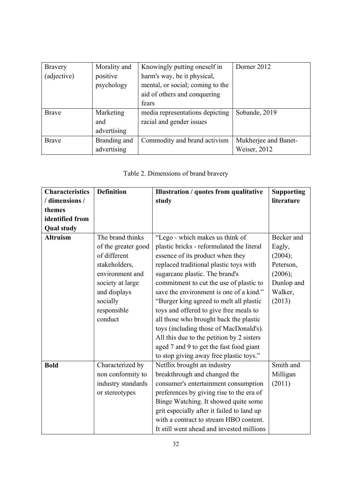| <b>Bravery</b> | Morality and | Knowingly putting oneself in     | Dorner 2012          |
|----------------|--------------|----------------------------------|----------------------|
| (adjective)    | positive     | harm's way, be it physical,      |                      |
|                | psychology   | mental, or social; coming to the |                      |
|                |              | aid of others and conquering     |                      |
|                |              | fears                            |                      |
| <b>Brave</b>   | Marketing    | media representations depicting  | Sobande, 2019        |
|                | and          | racial and gender issues         |                      |
|                | advertising  |                                  |                      |
| <b>Brave</b>   | Branding and | Commodity and brand activism     | Mukherjee and Banet- |
|                | advertising  |                                  | Weiser, 2012         |

# Table 2. Dimensions of brand bravery

| <b>Characteristics</b> | <b>Definition</b>   | Illustration / quotes from qualitative     | <b>Supporting</b> |
|------------------------|---------------------|--------------------------------------------|-------------------|
| / dimensions /         |                     | study                                      | literature        |
| themes                 |                     |                                            |                   |
| identified from        |                     |                                            |                   |
| <b>Qual study</b>      |                     |                                            |                   |
| <b>Altruism</b>        | The brand thinks    | "Lego - which makes us think of            | Becker and        |
|                        | of the greater good | plastic bricks - reformulated the literal  | Eagly,            |
|                        | of different        | essence of its product when they           | (2004);           |
|                        | stakeholders,       | replaced traditional plastic toys with     | Peterson,         |
|                        | environment and     | sugarcane plastic. The brand's             | (2006);           |
|                        | society at large    | commitment to cut the use of plastic to    | Dunlop and        |
|                        | and displays        | save the environment is one of a kind."    | Walker,           |
|                        | socially            | "Burger king agreed to melt all plastic    | (2013)            |
|                        | responsible         | toys and offered to give free meals to     |                   |
|                        | conduct             | all those who brought back the plastic     |                   |
|                        |                     | toys (including those of MacDonald's).     |                   |
|                        |                     | All this due to the petition by 2 sisters  |                   |
|                        |                     | aged 7 and 9 to get the fast food giant    |                   |
|                        |                     | to stop giving away free plastic toys."    |                   |
| <b>Bold</b>            | Characterized by    | Netflix brought an industry                | Smith and         |
|                        | non conformity to   | breakthrough and changed the               | Milligan          |
|                        | industry standards  | consumer's entertainment consumption       | (2011)            |
|                        | or stereotypes      | preferences by giving rise to the era of   |                   |
|                        |                     | Binge Watching. It showed quite some       |                   |
|                        |                     | grit especially after it failed to land up |                   |
|                        |                     | with a contract to stream HBO content.     |                   |
|                        |                     | It still went ahead and invested millions  |                   |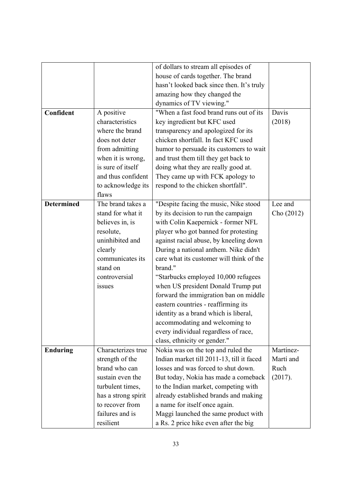|                   |                     | of dollars to stream all episodes of      |            |
|-------------------|---------------------|-------------------------------------------|------------|
|                   |                     | house of cards together. The brand        |            |
|                   |                     | hasn't looked back since then. It's truly |            |
|                   |                     | amazing how they changed the              |            |
|                   |                     | dynamics of TV viewing."                  |            |
| Confident         | A positive          | "When a fast food brand runs out of its   | Davis      |
|                   | characteristics     | key ingredient but KFC used               | (2018)     |
|                   | where the brand     | transparency and apologized for its       |            |
|                   | does not deter      | chicken shortfall. In fact KFC used       |            |
|                   | from admitting      | humor to persuade its customers to wait   |            |
|                   | when it is wrong,   | and trust them till they get back to      |            |
|                   | is sure of itself   | doing what they are really good at.       |            |
|                   | and thus confident  | They came up with FCK apology to          |            |
|                   | to acknowledge its  | respond to the chicken shortfall".        |            |
|                   | flaws               |                                           |            |
| <b>Determined</b> | The brand takes a   | "Despite facing the music, Nike stood     | Lee and    |
|                   | stand for what it   | by its decision to run the campaign       | Cho (2012) |
|                   | believes in, is     | with Colin Kaepernick - former NFL        |            |
|                   | resolute,           | player who got banned for protesting      |            |
|                   | uninhibited and     | against racial abuse, by kneeling down    |            |
|                   | clearly             | During a national anthem. Nike didn't     |            |
|                   | communicates its    | care what its customer will think of the  |            |
|                   | stand on            | brand."                                   |            |
|                   | controversial       | "Starbucks employed 10,000 refugees       |            |
|                   | issues              | when US president Donald Trump put        |            |
|                   |                     | forward the immigration ban on middle     |            |
|                   |                     | eastern countries - reaffirming its       |            |
|                   |                     | identity as a brand which is liberal,     |            |
|                   |                     | accommodating and welcoming to            |            |
|                   |                     | every individual regardless of race,      |            |
|                   |                     | class, ethnicity or gender."              |            |
| <b>Enduring</b>   | Characterizes true  | Nokia was on the top and ruled the        | Martínez-  |
|                   | strength of the     | Indian market till 2011-13, till it faced | Martí and  |
|                   | brand who can       | losses and was forced to shut down.       | Ruch       |
|                   | sustain even the    | But today, Nokia has made a comeback      | (2017).    |
|                   | turbulent times,    | to the Indian market, competing with      |            |
|                   | has a strong spirit | already established brands and making     |            |
|                   | to recover from     | a name for itself once again.             |            |
|                   | failures and is     | Maggi launched the same product with      |            |
|                   | resilient           | a Rs. 2 price hike even after the big     |            |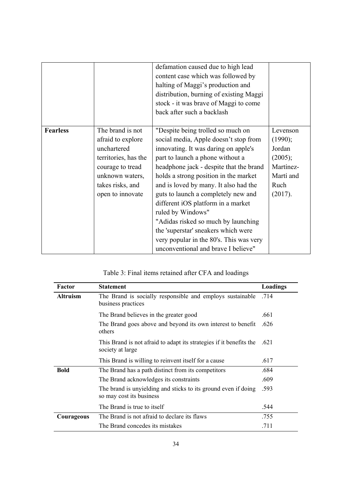|                 |                                                                                                                                                             | defamation caused due to high lead<br>content case which was followed by<br>halting of Maggi's production and<br>distribution, burning of existing Maggi<br>stock - it was brave of Maggi to come<br>back after such a backlash                                                                                                                                                                                                                                                                                                                        |                                                                                       |
|-----------------|-------------------------------------------------------------------------------------------------------------------------------------------------------------|--------------------------------------------------------------------------------------------------------------------------------------------------------------------------------------------------------------------------------------------------------------------------------------------------------------------------------------------------------------------------------------------------------------------------------------------------------------------------------------------------------------------------------------------------------|---------------------------------------------------------------------------------------|
| <b>Fearless</b> | The brand is not<br>afraid to explore<br>unchartered<br>territories, has the<br>courage to tread<br>unknown waters,<br>takes risks, and<br>open to innovate | "Despite being trolled so much on<br>social media, Apple doesn't stop from<br>innovating. It was daring on apple's<br>part to launch a phone without a<br>headphone jack - despite that the brand<br>holds a strong position in the market<br>and is loved by many. It also had the<br>guts to launch a completely new and<br>different iOS platform in a market<br>ruled by Windows"<br>"Adidas risked so much by launching"<br>the 'superstar' sneakers which were<br>very popular in the 80's. This was very<br>unconventional and brave I believe" | Levenson<br>(1990);<br>Jordan<br>(2005);<br>Martínez-<br>Martí and<br>Ruch<br>(2017). |

# Table 3: Final items retained after CFA and loadings

| Factor          | <b>Statement</b>                                                                           | Loadings |
|-----------------|--------------------------------------------------------------------------------------------|----------|
| <b>Altruism</b> | The Brand is socially responsible and employs sustainable<br>business practices            | .714     |
|                 | The Brand believes in the greater good                                                     | .661     |
|                 | The Brand goes above and beyond its own interest to benefit<br>others                      | .626     |
|                 | This Brand is not afraid to adapt its strategies if it benefits the<br>society at large    | .621     |
|                 | This Brand is willing to reinvent itself for a cause                                       | .617     |
| <b>Bold</b>     | The Brand has a path distinct from its competitors                                         | .684     |
|                 | The Brand acknowledges its constraints                                                     | .609     |
|                 | The brand is unyielding and sticks to its ground even if doing<br>so may cost its business | .593     |
|                 | The Brand is true to itself                                                                | .544     |
| Courageous      | The Brand is not afraid to declare its flaws                                               | .755     |
|                 | The Brand concedes its mistakes                                                            | .711     |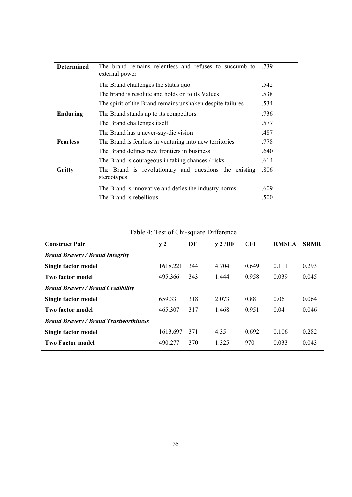| <b>Determined</b> | The brand remains relentless and refuses to succumb to<br>external power | .739 |
|-------------------|--------------------------------------------------------------------------|------|
|                   | The Brand challenges the status quo                                      | .542 |
|                   | The brand is resolute and holds on to its Values                         | .538 |
|                   | The spirit of the Brand remains unshaken despite failures                | .534 |
| <b>Enduring</b>   | The Brand stands up to its competitors                                   | .736 |
|                   | The Brand challenges itself                                              | .577 |
|                   | The Brand has a never-say-die vision                                     | .487 |
| <b>Fearless</b>   | The Brand is fearless in venturing into new territories                  | .778 |
|                   | The Brand defines new frontiers in business                              | .640 |
|                   | The Brand is courageous in taking chances / risks                        | .614 |
| Gritty            | The Brand is revolutionary and questions the existing<br>stereotypes     | .806 |
|                   | The Brand is innovative and defies the industry norms                    | .609 |
|                   | The Brand is rebellious                                                  | .500 |

Table 4: Test of Chi-square Difference

| <b>Construct Pair</b>                        | $\chi$ 2 | DF  | $\chi$ 2 /DF | <b>CFI</b> | <b>RMSEA</b> | <b>SRMR</b> |
|----------------------------------------------|----------|-----|--------------|------------|--------------|-------------|
| <b>Brand Bravery / Brand Integrity</b>       |          |     |              |            |              |             |
| Single factor model                          | 1618.221 | 344 | 4.704        | 0.649      | 0.111        | 0.293       |
| Two factor model                             | 495.366  | 343 | 1.444        | 0.958      | 0.039        | 0.045       |
| <b>Brand Bravery / Brand Credibility</b>     |          |     |              |            |              |             |
| Single factor model                          | 659.33   | 318 | 2.073        | 0.88       | 0.06         | 0.064       |
| Two factor model                             | 465.307  | 317 | 1.468        | 0.951      | 0.04         | 0.046       |
| <b>Brand Bravery / Brand Trustworthiness</b> |          |     |              |            |              |             |
| Single factor model                          | 1613.697 | 371 | 4.35         | 0.692      | 0.106        | 0.282       |
| <b>Two Factor model</b>                      | 490.277  | 370 | 1.325        | 970        | 0.033        | 0.043       |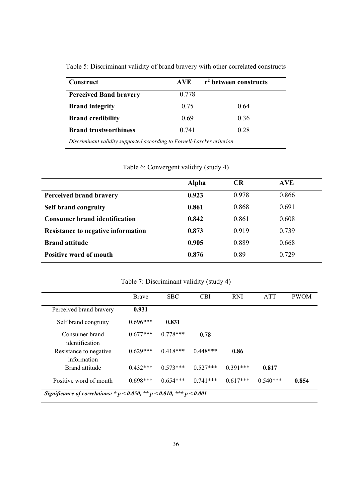| Construct                     | <b>AVE</b> | r <sup>2</sup> between constructs |  |  |
|-------------------------------|------------|-----------------------------------|--|--|
| <b>Perceived Band bravery</b> | 0.778      |                                   |  |  |
| <b>Brand integrity</b>        | 0.75       | 0.64                              |  |  |
| <b>Brand credibility</b>      | 0.69       | 0.36                              |  |  |
| <b>Brand trustworthiness</b>  | 0.741      | 0.28                              |  |  |

Table 5: Discriminant validity of brand bravery with other correlated constructs

Table 6: Convergent validity (study 4)

|                                           | Alpha | <b>CR</b> | <b>AVE</b> |  |
|-------------------------------------------|-------|-----------|------------|--|
| Perceived brand bravery                   | 0.923 | 0.978     | 0.866      |  |
| <b>Self brand congruity</b>               | 0.861 | 0.868     | 0.691      |  |
| <b>Consumer brand identification</b>      | 0.842 | 0.861     | 0.608      |  |
| <b>Resistance to negative information</b> | 0.873 | 0.919     | 0.739      |  |
| <b>Brand attitude</b>                     | 0.905 | 0.889     | 0.668      |  |
| <b>Positive word of mouth</b>             | 0.876 | 0.89      | 0.729      |  |
|                                           |       |           |            |  |

Table 7: Discriminant validity (study 4)

|                                                                                | Brave      | <b>SBC</b> | <b>CBI</b> | <b>RNI</b> | <b>ATT</b> | <b>PWOM</b> |
|--------------------------------------------------------------------------------|------------|------------|------------|------------|------------|-------------|
| Perceived brand bravery                                                        | 0.931      |            |            |            |            |             |
| Self brand congruity                                                           | $0.696***$ | 0.831      |            |            |            |             |
| Consumer brand<br>identification                                               | $0.677***$ | $0.778***$ | 0.78       |            |            |             |
| Resistance to negative<br>information                                          | $0.629***$ | $0.418***$ | $0.448***$ | 0.86       |            |             |
| Brand attitude                                                                 | $0.432***$ | $0.573***$ | $0.527***$ | $0.391***$ | 0.817      |             |
| Positive word of mouth                                                         | $0.698***$ | $0.654***$ | $0.741***$ | $0.617***$ | $0.540***$ | 0.854       |
| Significance of correlations: * $p < 0.050$ , ** $p < 0.010$ , *** $p < 0.001$ |            |            |            |            |            |             |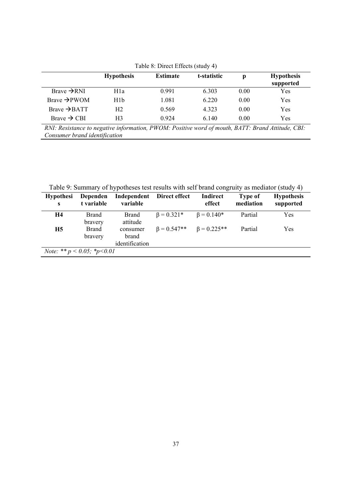| Table 8: Direct Effects (study 4) |                   |                 |             |      |                                |  |
|-----------------------------------|-------------------|-----------------|-------------|------|--------------------------------|--|
|                                   | <b>Hypothesis</b> | <b>Estimate</b> | t-statistic | р    | <b>Hypothesis</b><br>supported |  |
| Brave $\rightarrow$ RNI           | H1a               | 0.991           | 6.303       | 0.00 | Yes                            |  |
| Brave $\rightarrow$ PWOM          | H <sub>1</sub> b  | 1.081           | 6.220       | 0.00 | Yes                            |  |
| $Brave \rightarrow BATT$          | H <sub>2</sub>    | 0.569           | 4.323       | 0.00 | Yes                            |  |
| $Brave \rightarrow CBI$           | H3                | 0.924           | 6.140       | 0.00 | Yes                            |  |

Table 8: Direct Effects (study 4)

*RNI: Resistance to negative information, PWOM: Positive word of mouth, BATT: Brand Attitude, CBI: Consumer brand identification* 

Table 9: Summary of hypotheses test results with self brand congruity as mediator (study 4)

| Table 9: Summary of hypotheses test results with sell brand congruity as mediator (study 4) |                         |                                     |                                          |                    |                             |                                |
|---------------------------------------------------------------------------------------------|-------------------------|-------------------------------------|------------------------------------------|--------------------|-----------------------------|--------------------------------|
| <b>Hypothesi</b>                                                                            | Dependen<br>t variable  | variable                            | Independent Direct effect                | Indirect<br>effect | <b>Type of</b><br>mediation | <b>Hypothesis</b><br>supported |
| H4                                                                                          | <b>Brand</b><br>bravery | <b>Brand</b><br>attitude            | $\beta = 0.321*$                         | $\beta = 0.140*$   | Partial                     | Yes                            |
| <b>H5</b>                                                                                   | <b>Brand</b><br>bravery | consumer<br>brand<br>identification | $\beta = 0.547** \qquad \beta = 0.225**$ |                    | Partial                     | Yes                            |
| <i>Note:</i> ** $p < 0.05$ ; * $p < 0.01$                                                   |                         |                                     |                                          |                    |                             |                                |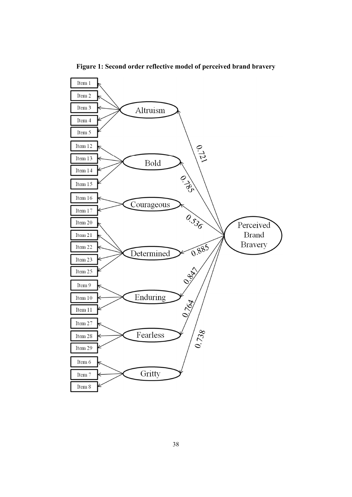

**Figure 1: Second order reflective model of perceived brand bravery**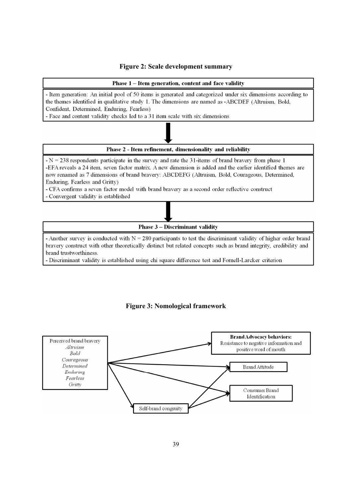### **Figure 2: Scale development summary**



**Phase 3 – Discriminant validity** 

- Another survey is conducted with  $N = 280$  participants to test the discriminant validity of higher order brand bravery construct with other theoretically distinct but related concepts such as brand integrity, credibility and brand trustworthiness.

- Discriminant validity is established using chi square difference test and Fornell-Larcker criterion



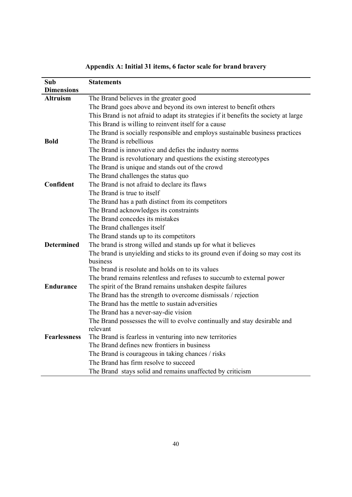| Sub                 | <b>Statements</b>                                                                    |
|---------------------|--------------------------------------------------------------------------------------|
| <b>Dimensions</b>   |                                                                                      |
| <b>Altruism</b>     | The Brand believes in the greater good                                               |
|                     | The Brand goes above and beyond its own interest to benefit others                   |
|                     | This Brand is not afraid to adapt its strategies if it benefits the society at large |
|                     | This Brand is willing to reinvent itself for a cause                                 |
|                     | The Brand is socially responsible and employs sustainable business practices         |
| <b>Bold</b>         | The Brand is rebellious                                                              |
|                     | The Brand is innovative and defies the industry norms                                |
|                     | The Brand is revolutionary and questions the existing stereotypes                    |
|                     | The Brand is unique and stands out of the crowd                                      |
|                     | The Brand challenges the status quo                                                  |
| Confident           | The Brand is not afraid to declare its flaws                                         |
|                     | The Brand is true to itself                                                          |
|                     | The Brand has a path distinct from its competitors                                   |
|                     | The Brand acknowledges its constraints                                               |
|                     | The Brand concedes its mistakes                                                      |
|                     | The Brand challenges itself                                                          |
|                     | The Brand stands up to its competitors                                               |
| <b>Determined</b>   | The brand is strong willed and stands up for what it believes                        |
|                     | The brand is unyielding and sticks to its ground even if doing so may cost its       |
|                     | business                                                                             |
|                     | The brand is resolute and holds on to its values                                     |
|                     | The brand remains relentless and refuses to succumb to external power                |
| <b>Endurance</b>    | The spirit of the Brand remains unshaken despite failures                            |
|                     | The Brand has the strength to overcome dismissals / rejection                        |
|                     | The Brand has the mettle to sustain adversities                                      |
|                     | The Brand has a never-say-die vision                                                 |
|                     | The Brand possesses the will to evolve continually and stay desirable and            |
|                     | relevant                                                                             |
| <b>Fearlessness</b> | The Brand is fearless in venturing into new territories                              |
|                     | The Brand defines new frontiers in business                                          |
|                     | The Brand is courageous in taking chances / risks                                    |
|                     | The Brand has firm resolve to succeed                                                |
|                     | The Brand stays solid and remains unaffected by criticism                            |

**Appendix A: Initial 31 items, 6 factor scale for brand bravery**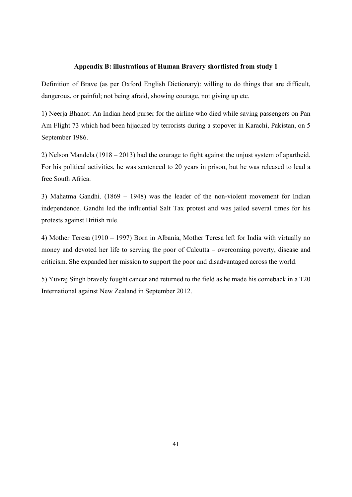### **Appendix B: illustrations of Human Bravery shortlisted from study 1**

Definition of Brave (as per Oxford English Dictionary): willing to do things that are difficult, dangerous, or painful; not being afraid, showing courage, not giving up etc.

1) Neerja Bhanot: An Indian head purser for the airline who died while saving passengers on Pan Am Flight 73 which had been hijacked by terrorists during a stopover in Karachi, Pakistan, on 5 September 1986.

2) Nelson Mandela (1918 – 2013) had the courage to fight against the unjust system of apartheid. For his political activities, he was sentenced to 20 years in prison, but he was released to lead a free South Africa.

3) Mahatma Gandhi. (1869 – 1948) was the leader of the non-violent movement for Indian independence. Gandhi led the influential Salt Tax protest and was jailed several times for his protests against British rule.

4) Mother Teresa (1910 – 1997) Born in Albania, Mother Teresa left for India with virtually no money and devoted her life to serving the poor of Calcutta – overcoming poverty, disease and criticism. She expanded her mission to support the poor and disadvantaged across the world.

5) Yuvraj Singh bravely fought cancer and returned to the field as he made his comeback in a T20 International against New Zealand in September 2012.